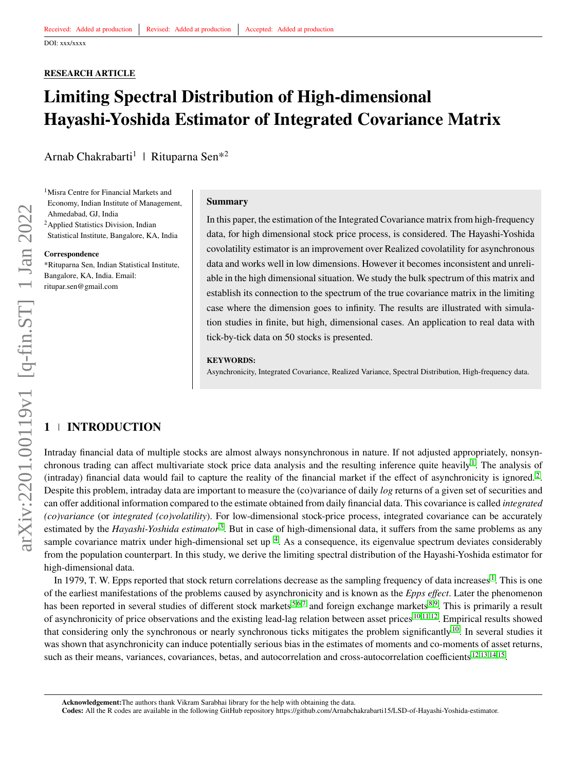## <span id="page-0-0"></span>**RESEARCH ARTICLE**

# **Limiting Spectral Distribution of High-dimensional Hayashi-Yoshida Estimator of Integrated Covariance Matrix**

Arnab Chakrabarti<sup>1</sup> | Rituparna Sen<sup>\*2</sup>

<sup>1</sup>Misra Centre for Financial Markets and Economy, Indian Institute of Management, Ahmedabad, GJ, India <sup>2</sup>Applied Statistics Division, Indian Statistical Institute, Bangalore, KA, India

**Correspondence**

\*Rituparna Sen, Indian Statistical Institute, Bangalore, KA, India. Email: ritupar.sen@gmail.com

#### **Summary**

In this paper, the estimation of the Integrated Covariance matrix from high-frequency data, for high dimensional stock price process, is considered. The Hayashi-Yoshida covolatility estimator is an improvement over Realized covolatility for asynchronous data and works well in low dimensions. However it becomes inconsistent and unreliable in the high dimensional situation. We study the bulk spectrum of this matrix and establish its connection to the spectrum of the true covariance matrix in the limiting case where the dimension goes to infinity. The results are illustrated with simulation studies in finite, but high, dimensional cases. An application to real data with tick-by-tick data on 50 stocks is presented.

### **KEYWORDS:**

Asynchronicity, Integrated Covariance, Realized Variance, Spectral Distribution, High-frequency data.

## **1 INTRODUCTION**

Intraday financial data of multiple stocks are almost always nonsynchronous in nature. If not adjusted appropriately, nonsyn-chronous trading can affect multivariate stock price data analysis and the resulting inference quite heavily<sup>[1](#page-18-0)</sup>. The analysis of (intraday) financial data would fail to capture the reality of the financial market if the effect of asynchronicity is ignored.<sup>[2](#page-18-1)</sup>. Despite this problem, intraday data are important to measure the (co)variance of daily *log* returns of a given set of securities and can offer additional information compared to the estimate obtained from daily financial data. This covariance is called *integrated (co)variance* (or *integrated (co)volatility*). For low-dimensional stock-price process, integrated covariance can be accurately estimated by the *Hayashi-Yoshida estimator*<sup>[3](#page-18-2)</sup>. But in case of high-dimensional data, it suffers from the same problems as any sample covariance matrix under high-dimensional set up  $4$ . As a consequence, its eigenvalue spectrum deviates considerably from the population counterpart. In this study, we derive the limiting spectral distribution of the Hayashi-Yoshida estimator for high-dimensional data.

In [1](#page-18-0)979, T. W. Epps reported that stock return correlations decrease as the sampling frequency of data increases<sup>1</sup>. This is one of the earliest manifestations of the problems caused by asynchronicity and is known as the *Epps effect*. Later the phenomenon has been reported in several studies of different stock markets<sup>[5,](#page-18-4)[6,](#page-18-5)[7](#page-18-6)</sup> and foreign exchange markets<sup>[8](#page-18-7)[,9](#page-18-8)</sup>. This is primarily a result of asynchronicity of price observations and the existing lead-lag relation between asset prices  $10,11,12$  $10,11,12$  $10,11,12$ . Empirical results showed that considering only the synchronous or nearly synchronous ticks mitigates the problem significantly<sup>[10](#page-18-9)</sup>. In several studies it was shown that asynchronicity can induce potentially serious bias in the estimates of moments and co-moments of asset returns, such as their means, variances, covariances, betas, and autocorrelation and cross-autocorrelation coefficients <sup>[12,](#page-18-11)[13,](#page-18-12)[14](#page-18-13)[,15](#page-18-14)</sup>.

**Acknowledgement:**The authors thank Vikram Sarabhai library for the help with obtaining the data.

**Codes:** All the R codes are available in the following GitHub repository https://github.com/Arnabchakrabarti15/LSD-of-Hayashi-Yoshida-estimator.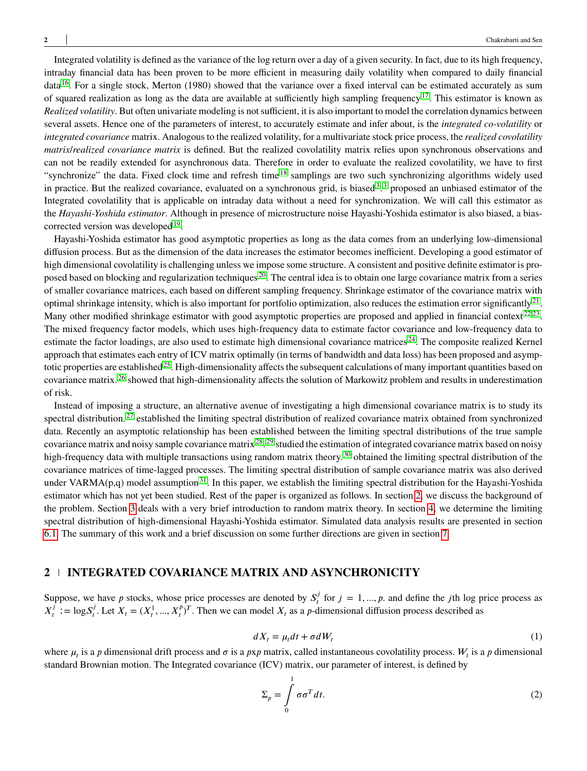Integrated volatility is defined as the variance of the log return over a day of a given security. In fact, due to its high frequency, intraday financial data has been proven to be more efficient in measuring daily volatility when compared to daily financial data [16](#page-18-15). For a single stock, Merton (1980) showed that the variance over a fixed interval can be estimated accurately as sum of squared realization as long as the data are available at sufficiently high sampling frequency<sup>[17](#page-19-0)</sup>. This estimator is known as *Realized volatility*. But often univariate modeling is not sufficient, it is also important to model the correlation dynamics between several assets. Hence one of the parameters of interest, to accurately estimate and infer about, is the *integrated co-volatility* or *integrated covariance* matrix. Analogous to the realized volatility, for a multivariate stock price process, the *realized covolatility matrix*/*realized covariance matrix* is defined. But the realized covolatility matrix relies upon synchronous observations and can not be readily extended for asynchronous data. Therefore in order to evaluate the realized covolatility, we have to first "synchronize" the data. Fixed clock time and refresh time <sup>[18](#page-19-1)</sup> samplings are two such synchronizing algorithms widely used in practice. But the realized covariance, evaluated on a synchronous grid, is biased<sup>[3](#page-18-2)</sup>.<sup>3</sup> proposed an unbiased estimator of the Integrated covolatility that is applicable on intraday data without a need for synchronization. We will call this estimator as the *Hayashi-Yoshida estimator*. Although in presence of microstructure noise Hayashi-Yoshida estimator is also biased, a bias-corrected version was developed<sup>[19](#page-19-2)</sup>.

Hayashi-Yoshida estimator has good asymptotic properties as long as the data comes from an underlying low-dimensional diffusion process. But as the dimension of the data increases the estimator becomes inefficient. Developing a good estimator of high dimensional covolatility is challenging unless we impose some structure. A consistent and positive definite estimator is proposed based on blocking and regularization techniques  $20$ . The central idea is to obtain one large covariance matrix from a series of smaller covariance matrices, each based on different sampling frequency. Shrinkage estimator of the covariance matrix with optimal shrinkage intensity, which is also important for portfolio optimization, also reduces the estimation error significantly  $^{21}$  $^{21}$  $^{21}$ . Many other modified shrinkage estimator with good asymptotic properties are proposed and applied in financial context<sup>[22](#page-19-5)[,23](#page-19-6)</sup>. The mixed frequency factor models, which uses high-frequency data to estimate factor covariance and low-frequency data to estimate the factor loadings, are also used to estimate high dimensional covariance matrices  $24$ . The composite realized Kernel approach that estimates each entry of ICV matrix optimally (in terms of bandwidth and data loss) has been proposed and asymp-totic properties are established<sup>[25](#page-19-8)</sup>. High-dimensionality affects the subsequent calculations of many important quantities based on covariance matrix. [26](#page-19-9) showed that high-dimensionality affects the solution of Markowitz problem and results in underestimation of risk.

Instead of imposing a structure, an alternative avenue of investigating a high dimensional covariance matrix is to study its spectral distribution.<sup>[27](#page-19-10)</sup> established the limiting spectral distribution of realized covariance matrix obtained from synchronized data. Recently an asymptotic relationship has been established between the limiting spectral distributions of the true sample covariance matrix and noisy sample covariance matrix  $^{28}$  $^{28}$  $^{28}$ .  $^{29}$  $^{29}$  $^{29}$  studied the estimation of integrated covariance matrix based on noisy high-frequency data with multiple transactions using random matrix theory.<sup>[30](#page-19-13)</sup> obtained the limiting spectral distribution of the covariance matrices of time-lagged processes. The limiting spectral distribution of sample covariance matrix was also derived under VARMA(p,q) model assumption<sup>[31](#page-19-14)</sup>. In this paper, we establish the limiting spectral distribution for the Hayashi-Yoshida estimator which has not yet been studied. Rest of the paper is organized as follows. In section [2,](#page-1-0) we discuss the background of the problem. Section [3](#page-6-0) deals with a very brief introduction to random matrix theory. In section [4,](#page-7-0) we determine the limiting spectral distribution of high-dimensional Hayashi-Yoshida estimator. Simulated data analysis results are presented in section [6.1.](#page-15-0) The summary of this work and a brief discussion on some further directions are given in section [7.](#page-18-16)

## <span id="page-1-0"></span>**2 INTEGRATED COVARIANCE MATRIX AND ASYNCHRONICITY**

<span id="page-1-1"></span>Suppose, we have *p* stocks, whose price processes are denoted by  $S_t^j$  $j_t^j$  for  $j = 1, ..., p$ . and define the *j*th log price process as  $X^j_{\scriptscriptstyle{t}}$  $J_t^j := \log S_t^j$  $J_t^j$ . Let  $X_t = (X_t^1, ..., X_t^p)^T$ . Then we can model  $X_t$  as a *p*-dimensional diffusion process described as

$$
dX_t = \mu_t dt + \sigma dW_t \tag{1}
$$

where  $\mu_t$  is a *p* dimensional drift process and  $\sigma$  is a *pxp* matrix, called instantaneous covolatility process.  $W_t$  is a *p* dimensional standard Brownian motion. The Integrated covariance (ICV) matrix, our parameter of interest, is defined by

$$
\Sigma_p = \int_0^1 \sigma \sigma^T dt. \tag{2}
$$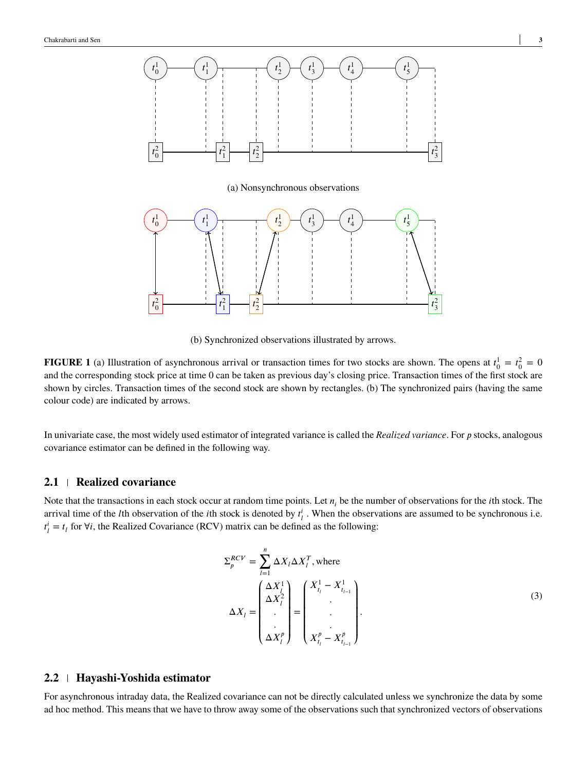<span id="page-2-0"></span>

(b) Synchronized observations illustrated by arrows.

**FIGURE 1** (a) Illustration of asynchronous arrival or transaction times for two stocks are shown. The opens at  $t_0^1 = t_0^2 = 0$ and the corresponding stock price at time 0 can be taken as previous day's closing price. Transaction times of the first stock are shown by circles. Transaction times of the second stock are shown by rectangles. (b) The synchronized pairs (having the same colour code) are indicated by arrows.

In univariate case, the most widely used estimator of integrated variance is called the *Realized variance*. For *p* stocks, analogous covariance estimator can be defined in the following way.

## **2.1 Realized covariance**

Note that the transactions in each stock occur at random time points. Let  $n_i$  be the number of observations for the *i*th stock. The arrival time of the *l*th observation of the *i*th stock is denoted by  $t^i_l$ . When the observations are assumed to be synchronous i.e.  $t^i_l = t_l$  for  $\forall i$ , the Realized Covariance (RCV) matrix can be defined as the following:

$$
\Sigma_{p}^{RCV} = \sum_{l=1}^{n} \Delta X_{l} \Delta X_{l}^{T}, \text{ where}
$$
\n
$$
\Delta X_{l} = \begin{pmatrix} \Delta X_{l}^{1} \\ \Delta X_{l}^{2} \\ \vdots \\ \Delta X_{l}^{p} \end{pmatrix} = \begin{pmatrix} X_{t_{l}}^{1} - X_{t_{l-1}}^{1} \\ \vdots \\ X_{t_{l}}^{p} - X_{t_{l-1}}^{p} \end{pmatrix}.
$$
\n(3)

## **2.2 Hayashi-Yoshida estimator**

For asynchronous intraday data, the Realized covariance can not be directly calculated unless we synchronize the data by some ad hoc method. This means that we have to throw away some of the observations such that synchronized vectors of observations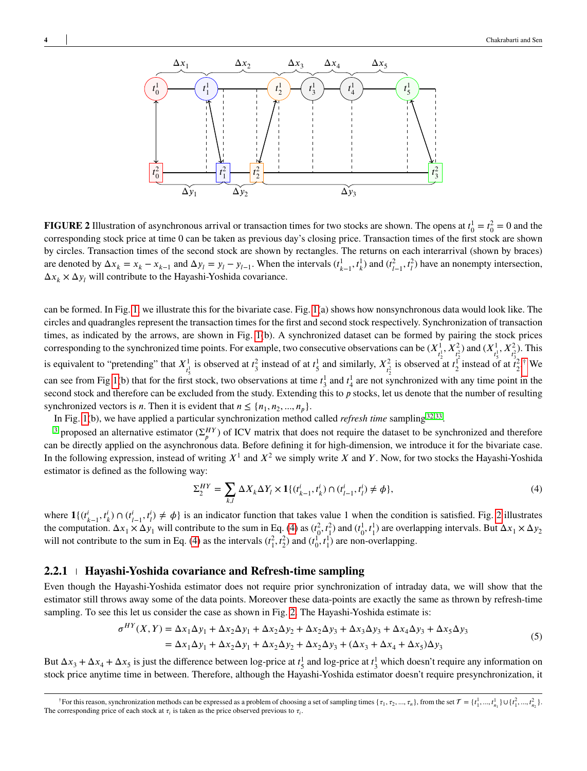<span id="page-3-0"></span>

**FIGURE 2** Illustration of asynchronous arrival or transaction times for two stocks are shown. The opens at  $t_0^1 = t_0^2 = 0$  and the corresponding stock price at time 0 can be taken as previous day's closing price. Transaction times of the first stock are shown by circles. Transaction times of the second stock are shown by rectangles. The returns on each interarrival (shown by braces) are denoted by  $\Delta x_k = x_k - x_{k-1}$  and  $\Delta y_l = y_l - y_{l-1}$ . When the intervals  $(t_{k-1}^1, t_k^1)$  and  $(t_{l-1}^2, t_l^2)$  have an nonempty intersection,  $\Delta x_k \times \Delta y_l$  will contribute to the Hayashi-Yoshida covariance.

can be formed. In Fig. [1,](#page-2-0) we illustrate this for the bivariate case. Fig. [1\(](#page-2-0)a) shows how nonsynchronous data would look like. The circles and quadrangles represent the transaction times for the first and second stock respectively. Synchronization of transaction times, as indicated by the arrows, are shown in Fig. [1\(](#page-2-0)b). A synchronized dataset can be formed by pairing the stock prices corresponding to the synchronized time points. For example, two consecutive observations can be  $(X^1_{t^1_2}, X^2_{t^2_2})$  and  $(X^1_{t^1_3}, X^2_{t^2_3})$ . This is equivalent to "pretending" that  $X^1_{t^1_s}$  is observed at  $t^2_3$  instead of at  $t^1_s$  and similarly,  $X^2_{t^2_s}$  is observed at  $t^1_2$  instead of at  $t^2_2$ .<sup>[†](#page-0-0)</sup> We can see from Fig [1\(](#page-2-0)b) that for the first stock, two observations at time  $t_3^1$  and  $t_4^1$  are not synchronized with any time point in the second stock and therefore can be excluded from the study. Extending this to p stocks, let us denote that the number of resulting synchronized vectors is *n*. Then it is evident that  $n \leq \{n_1, n_2, ..., n_p\}$ .

In Fig. [1\(](#page-2-0)b), we have applied a particular synchronization method called *refresh time* sampling<sup>[32,](#page-19-15)[33](#page-19-16)</sup>.

<sup>[3](#page-18-2)</sup> proposed an alternative estimator  $(\Sigma_p^{HY})$  of ICV matrix that does not require the dataset to be synchronized and therefore can be directly applied on the asynchronous data. Before defining it for high-dimension, we introduce it for the bivariate case. In the following expression, instead of writing  $X^1$  and  $X^2$  we simply write X and Y. Now, for two stocks the Hayashi-Yoshida estimator is defined as the following way:

<span id="page-3-1"></span>
$$
\Sigma_2^{HY} = \sum_{k,l} \Delta X_k \Delta Y_l \times \mathbf{1} \{ (t_{k-1}^i, t_k^i) \cap (t_{l-1}^i, t_l^i) \neq \phi \},\tag{4}
$$

where  $\mathbf{1}\{(t_{k-1}^i, t_k^i) \cap (t_{l-1}^i, t_l^i) \neq \phi\}$  is an indicator function that takes value 1 when the condition is satisfied. Fig. [2](#page-3-0) illustrates the computation.  $\Delta x_1 \times \Delta y_1$  will contribute to the sum in Eq. [\(4\)](#page-3-1) as  $(t_0^2, t_1^2)$  and  $(t_0^1, t_1^1)$  are overlapping intervals. But  $\Delta x_1 \times \Delta y_2$ will not contribute to the sum in Eq. [\(4\)](#page-3-1) as the intervals  $(t_1^2, t_2^2)$  and  $(t_0^1, t_1^1)$  are non-overlapping.

## <span id="page-3-2"></span>**2.2.1 Hayashi-Yoshida covariance and Refresh-time sampling**

Even though the Hayashi-Yoshida estimator does not require prior synchronization of intraday data, we will show that the estimator still throws away some of the data points. Moreover these data-points are exactly the same as thrown by refresh-time sampling. To see this let us consider the case as shown in Fig. [2.](#page-3-0) The Hayashi-Yoshida estimate is:

$$
\sigma^{HY}(X,Y) = \Delta x_1 \Delta y_1 + \Delta x_2 \Delta y_1 + \Delta x_2 \Delta y_2 + \Delta x_2 \Delta y_3 + \Delta x_3 \Delta y_3 + \Delta x_4 \Delta y_3 + \Delta x_5 \Delta y_3
$$
  
=  $\Delta x_1 \Delta y_1 + \Delta x_2 \Delta y_1 + \Delta x_2 \Delta y_2 + \Delta x_2 \Delta y_3 + (\Delta x_3 + \Delta x_4 + \Delta x_5) \Delta y_3$  (5)

But  $\Delta x_3 + \Delta x_4 + \Delta x_5$  is just the difference between log-price at  $t_5^1$  and log-price at  $t_3^1$  which doesn't require any information on stock price anytime time in between. Therefore, although the Hayashi-Yoshida estimator doesn't require presynchronization, it

<sup>&</sup>lt;sup>†</sup>For this reason, synchronization methods can be expressed as a problem of choosing a set of sampling times { $\tau_1, \tau_2, ..., \tau_n$ }, from the set  $\mathcal{T} = \{t_1^1, ..., t_{n_1}^1\} \cup \{t_1^2, ..., t_{n_2}^2\}$ . The corresponding price of each stock at  $\tau_i$  is taken as the price observed previous to  $\tau_i$ .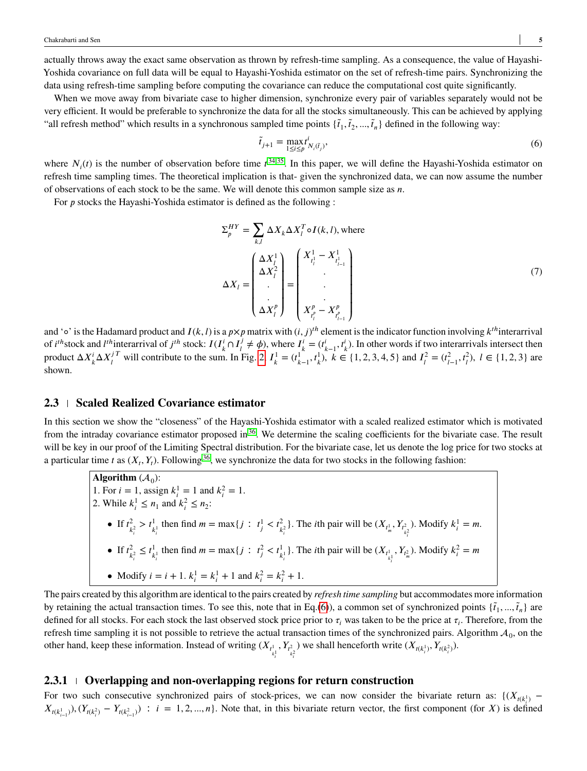actually throws away the exact same observation as thrown by refresh-time sampling. As a consequence, the value of Hayashi-Yoshida covariance on full data will be equal to Hayashi-Yoshida estimator on the set of refresh-time pairs. Synchronizing the data using refresh-time sampling before computing the covariance can reduce the computational cost quite significantly.

When we move away from bivariate case to higher dimension, synchronize every pair of variables separately would not be very efficient. It would be preferable to synchronize the data for all the stocks simultaneously. This can be achieved by applying "all refresh method" which results in a synchronous sampled time points  $\{\tilde{t}_1, \tilde{t}_2, ..., \tilde{t}_n\}$  defined in the following way:

<span id="page-4-0"></span>
$$
\tilde{t}_{j+1} = \max_{1 \le i \le p} t^i_{N_i(\tilde{t}_j)},\tag{6}
$$

where  $N_i(t)$  is the number of observation before time  $t^{34,35}$  $t^{34,35}$  $t^{34,35}$  $t^{34,35}$ . In this paper, we will define the Hayashi-Yoshida estimator on refresh time sampling times. The theoretical implication is that- given the synchronized data, we can now assume the number of observations of each stock to be the same. We will denote this common sample size as  $n$ .

For *p* stocks the Hayashi-Yoshida estimator is defined as the following :

$$
\Sigma_p^{HY} = \sum_{k,l} \Delta X_k \Delta X_l^T \circ I(k,l), \text{ where}
$$
\n
$$
\Delta X_l = \begin{pmatrix} \Delta X_l^1 \\ \Delta X_l^2 \\ \vdots \\ \Delta X_l^p \end{pmatrix} = \begin{pmatrix} X_{t_l^1}^1 - X_{t_{l-1}^1}^1 \\ \vdots \\ X_{t_l^p}^p - X_{t_{l-1}^p}^p \end{pmatrix}
$$
\n(7)

and '∘' is the Hadamard product and *I*(*k*,*l*) is a *p*×*p* matrix with (*i*, *j*)<sup>th</sup> element is the indicator function involving *k*<sup>th</sup>interarrival of *i*<sup>th</sup>stock and *l*<sup>th</sup>interarrival of *j*<sup>th</sup> stock:  $I(I_k^i \cap I_l^j)$  $j \neq \phi$ ), where  $I^i_k = (t^i_{k-1}, t^i_k)$ . In other words if two interarrivals intersect then product  $\Delta X_k^i \Delta X_l^{jT}$  $I_l^{jT}$  will contribute to the sum. In Fig. [2,](#page-3-0)  $I_k^1 = (t_{k-1}^1, t_k^1)$ ,  $k \in \{1, 2, 3, 4, 5\}$  and  $I_l^2 = (t_{l-1}^2, t_l^2)$ ,  $l \in \{1, 2, 3\}$  are shown.

## <span id="page-4-1"></span>**2.3 Scaled Realized Covariance estimator**

In this section we show the "closeness" of the Hayashi-Yoshida estimator with a scaled realized estimator which is motivated from the intraday covariance estimator proposed in  $36$ . We determine the scaling coefficients for the bivariate case. The result will be key in our proof of the Limiting Spectral distribution. For the bivariate case, let us denote the log price for two stocks at a particular time *t* as  $(X_t, Y_t)$ . Following<sup>[36](#page-19-19)</sup>, we synchronize the data for two stocks in the following fashion:

**Algorithm**  $(A_0)$ : 1. For  $i = 1$ , assign  $k_i^1 = 1$  and  $k_i^2 = 1$ . 2. While  $k_i^1 \le n_1$  and  $k_i^2 \le n_2$ : • If  $t_{\iota}^2$  $\frac{2}{k_i^2} > t_{\frac{1}{k_i}}^1$  then find  $m = \max\{j : t_j^1 < t_{\frac{2}{k_i}}^2\}$ . The *i*th pair will be  $(X_{t_m^1}, Y_{t_{\frac{2}{k_i}}^2})$ . Modify  $k_i^1 = m$ . *𝑖* • If  $t_i^2$  $\frac{2}{k_i^2} \leq t_k^1$  $\frac{1}{k_i^1}$  then find  $m = \max\{j : t_j^2 < t_{k_i^1}^1\}$ . The *i*th pair will be  $(X_{t_{k_i^1}}^1, Y_{t_m^2})$ . Modify  $k_i^2 = m$ *𝑖* • Modify  $i = i + 1$ .  $k_i^1 = k_i^1 + 1$  and  $k_i^2 = k_i^2 + 1$ .

The pairs created by this algorithm are identical to the pairs created by *refresh time sampling* but accommodates more information by retaining the actual transaction times. To see this, note that in Eq.[\(6\)](#page-4-0)), a common set of synchronized points  $\{\tilde{t}_1, ..., \tilde{t}_n\}$  are defined for all stocks. For each stock the last observed stock price prior to  $\tau_i$  was taken to be the price at  $\tau_i$ . Therefore, from the refresh time sampling it is not possible to retrieve the actual transaction times of the synchronized pairs. Algorithm  $A_0$ , on the other hand, keep these information. Instead of writing  $(X_{t_k^1}, Y_{t_k^2})$  we shall henceforth write  $(X_{t(k_i^1)}, Y_{t(k_i^2)})$ .

#### **2.3.1 Overlapping and non-overlapping regions for return construction**

For two such consecutive synchronized pairs of stock-prices, we can now consider the bivariate return as:  $\{(X_{t(k_i)}\}$  $X_{t(k_{i-1}^1)}(Y_{t(k_i^2)} - Y_{t(k_{i-1}^2)})$ :  $i = 1, 2, ..., n$ . Note that, in this bivariate return vector, the first component (for X) is defined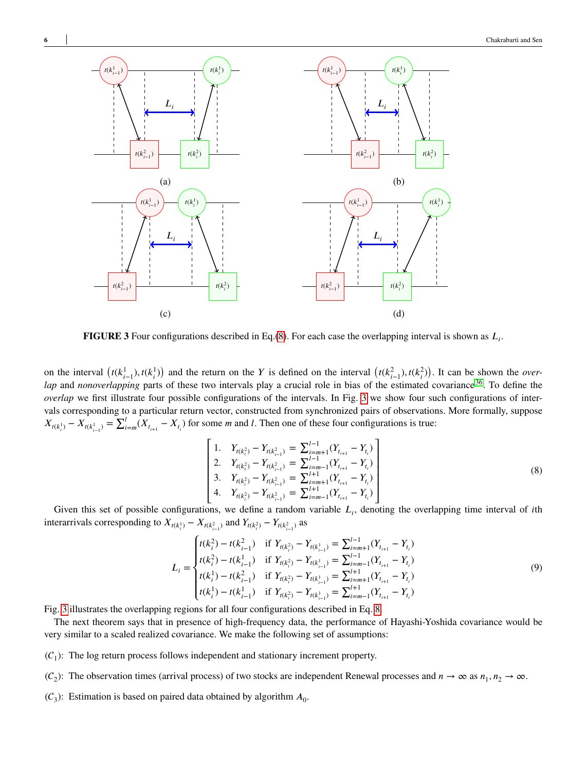<span id="page-5-1"></span>

**FIGURE 3** Four configurations described in Eq.[\(8\)](#page-5-0). For each case the overlapping interval is shown as  $L_i$ .

<span id="page-5-0"></span>on the interval  $(t(k_{i-1}^1), t(k_i^1))$  and the return on the Y is defined on the interval  $(t(k_{i-1}^2), t(k_i^2))$ . It can be shown the *overlap* and *nonoverlapping* parts of these two intervals play a crucial role in bias of the estimated covariance <sup>[36](#page-19-19)</sup>. To define the *overlap* we first illustrate four possible configurations of the intervals. In Fig. [3](#page-5-1) we show four such configurations of intervals corresponding to a particular return vector, constructed from synchronized pairs of observations. More formally, suppose  $X_{t(k_i^1)} - X_{t(k_{i-1}^1)} = \sum_{i=1}^{l}$  $\sum_{i=m}^{T} (X_{t_{i+1}} - X_{t_i})$  for some *m* and *l*. Then one of these four configurations is true:

$$
\begin{bmatrix}\n1. & Y_{t(k_i^2)} - Y_{t(k_{i-1}^2)} = \sum_{i=m+1}^{l-1} (Y_{t_{i+1}} - Y_{t_i}) \\
2. & Y_{t(k_i^2)} - Y_{t(k_{i-1}^2)} = \sum_{i=m-1}^{l-1} (Y_{t_{i+1}} - Y_{t_i}) \\
3. & Y_{t(k_i^2)} - Y_{t(k_{i-1}^2)} = \sum_{i=m+1}^{l+1} (Y_{t_{i+1}} - Y_{t_i}) \\
4. & Y_{t(k_i^2)} - Y_{t(k_{i-1}^2)} = \sum_{i=m-1}^{l+1} (Y_{t_{i+1}} - Y_{t_i})\n\end{bmatrix}
$$
\n(8)

Given this set of possible configurations, we define a random variable  $L_i$ , denoting the overlapping time interval of *i*th interarrivals corresponding to  $X_{t(k_i^1)} - X_{t(k_{i-1}^2)}$  and  $Y_{t(k_i^2)} - Y_{t(k_{i-1}^2)}$  as

$$
L_{i} = \begin{cases} t(k_{i}^{2}) - t(k_{i-1}^{2}) & \text{if } Y_{t(k_{i}^{2})} - Y_{t(k_{i-1}^{1})} = \sum_{i=m+1}^{l-1} (Y_{t_{i+1}} - Y_{t_{i}}) \\ t(k_{i}^{2}) - t(k_{i-1}^{1}) & \text{if } Y_{t(k_{i}^{2})} - Y_{t(k_{i-1}^{1})} = \sum_{i=m-1}^{l-1} (Y_{t_{i+1}} - Y_{t_{i}}) \\ t(k_{i}^{1}) - t(k_{i-1}^{2}) & \text{if } Y_{t(k_{i}^{2})} - Y_{t(k_{i-1}^{1})} = \sum_{i=m+1}^{l+1} (Y_{t_{i+1}} - Y_{t_{i}}) \\ t(k_{i}^{1}) - t(k_{i-1}^{1}) & \text{if } Y_{t(k_{i}^{2})} - Y_{t(k_{i-1}^{1})} = \sum_{i=m-1}^{l+1} (Y_{t_{i+1}} - Y_{t_{i}}) \end{cases}
$$
(9)

Fig. [3](#page-5-1) illustrates the overlapping regions for all four configurations described in Eq. [8.](#page-5-0)

The next theorem says that in presence of high-frequency data, the performance of Hayashi-Yoshida covariance would be very similar to a scaled realized covariance. We make the following set of assumptions:

- $(C_1)$ : The log return process follows independent and stationary increment property.
- $(C_2)$ : The observation times (arrival process) of two stocks are independent Renewal processes and  $n \to \infty$  as  $n_1, n_2 \to \infty$ .
- $(C_3)$ : Estimation is based on paired data obtained by algorithm  $A_0$ .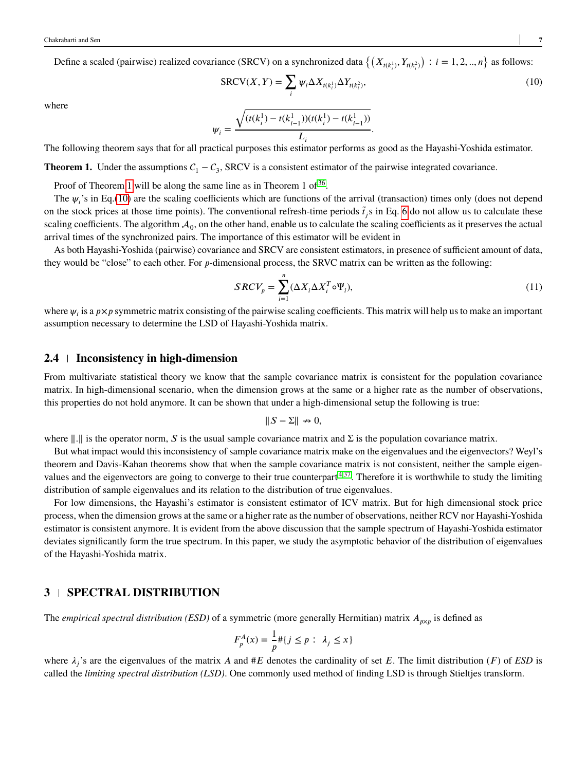Define a scaled (pairwise) realized covariance (SRCV) on a synchronized data  $\left\{ (X_{t(k_i^1)}, Y_{t(k_i^2)}) \right\}$  $\big) : i = 1, 2, ..., n \}$  as follows:

<span id="page-6-2"></span>
$$
SRCV(X, Y) = \sum_{i} \psi_i \Delta X_{t(k_i^1)} \Delta Y_{t(k_i^2)},
$$
\n(10)

where

$$
\psi_i = \frac{\sqrt{(t(k_i^1) - t(k_{i-1}^1))(t(k_i^1) - t(k_{i-1}^1))}}{L_i}.
$$

The following theorem says that for all practical purposes this estimator performs as good as the Hayashi-Yoshida estimator.

<span id="page-6-1"></span>**Theorem 1.** Under the assumptions  $C_1 - C_3$ , SRCV is a consistent estimator of the pairwise integrated covariance.

Proof of Theorem [1](#page-6-1) will be along the same line as in Theorem 1 of  $36$ .

The  $\psi_i$ 's in Eq.[\(10\)](#page-6-2) are the scaling coefficients which are functions of the arrival (transaction) times only (does not depend on the stock prices at those time points). The conventional refresh-time periods  $\tilde{t}_j$ s in Eq. [6](#page-4-0) do not allow us to calculate these scaling coefficients. The algorithm  $A_0$ , on the other hand, enable us to calculate the scaling coefficients as it preserves the actual arrival times of the synchronized pairs. The importance of this estimator will be evident in

As both Hayashi-Yoshida (pairwise) covariance and SRCV are consistent estimators, in presence of sufficient amount of data, they would be "close" to each other. For *p*-dimensional process, the SRVC matrix can be written as the following:

<span id="page-6-3"></span>
$$
SRCV_p = \sum_{i=1}^{n} (\Delta X_i \Delta X_i^T \circ \Psi_i),
$$
\n(11)

where  $\psi_i$  is a  $p \times p$  symmetric matrix consisting of the pairwise scaling coefficients. This matrix will help us to make an important assumption necessary to determine the LSD of Hayashi-Yoshida matrix.

## **2.4 Inconsistency in high-dimension**

From multivariate statistical theory we know that the sample covariance matrix is consistent for the population covariance matrix. In high-dimensional scenario, when the dimension grows at the same or a higher rate as the number of observations, this properties do not hold anymore. It can be shown that under a high-dimensional setup the following is true:

$$
||S - \Sigma|| \nrightarrow 0,
$$

where  $\Vert . \Vert$  is the operator norm, *S* is the usual sample covariance matrix and  $\Sigma$  is the population covariance matrix.

But what impact would this inconsistency of sample covariance matrix make on the eigenvalues and the eigenvectors? Weyl's theorem and Davis-Kahan theorems show that when the sample covariance matrix is not consistent, neither the sample eigenvalues and the eigenvectors are going to converge to their true counterpart  $4,37$  $4,37$ . Therefore it is worthwhile to study the limiting distribution of sample eigenvalues and its relation to the distribution of true eigenvalues.

For low dimensions, the Hayashi's estimator is consistent estimator of ICV matrix. But for high dimensional stock price process, when the dimension grows at the same or a higher rate as the number of observations, neither RCV nor Hayashi-Yoshida estimator is consistent anymore. It is evident from the above discussion that the sample spectrum of Hayashi-Yoshida estimator deviates significantly form the true spectrum. In this paper, we study the asymptotic behavior of the distribution of eigenvalues of the Hayashi-Yoshida matrix.

## <span id="page-6-0"></span>**3 | SPECTRAL DISTRIBUTION**

The *empirical spectral distribution (ESD)* of a symmetric (more generally Hermitian) matrix  $A_{p \times p}$  is defined as

$$
F_p^A(x) = \frac{1}{p} \# \{ j \le p : \lambda_j \le x \}
$$

where  $\lambda_j$ 's are the eigenvalues of the matrix *A* and #*E* denotes the cardinality of set *E*. The limit distribution (*F*) of *ESD* is called the *limiting spectral distribution (LSD)*. One commonly used method of finding LSD is through Stieltjes transform.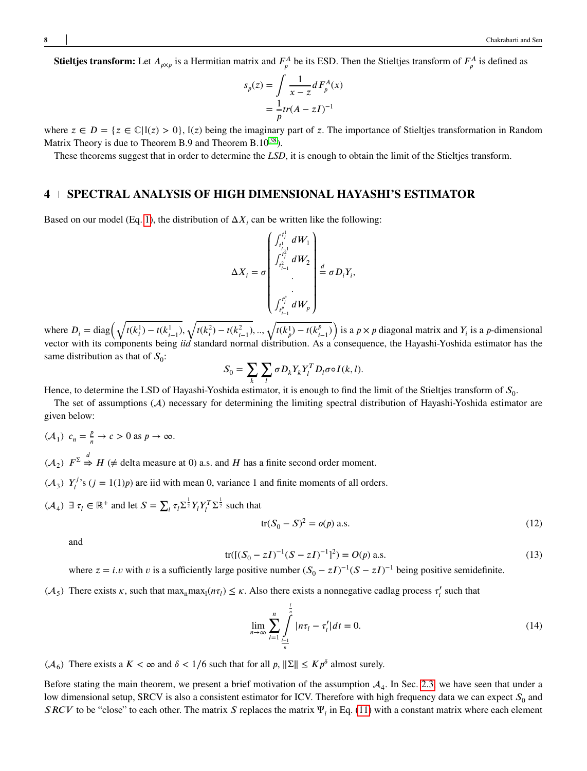**Stieltjes transform:** Let  $A_{p\times p}$  is a Hermitian matrix and  $F_p^A$  be its ESD. Then the Stieltjes transform of  $F_p^A$  is defined as

$$
s_p(z) = \int \frac{1}{x - z} dF_p^A(x)
$$

$$
= \frac{1}{p} tr(A - zI)^{-1}
$$

where  $z \in D = \{z \in \mathbb{C} | \mathbb{I}(z) > 0\}$ ,  $\mathbb{I}(z)$  being the imaginary part of *z*. The importance of Stieltjes transformation in Random Matrix Theory is due to Theorem B.9 and Theorem B.10<sup>[38](#page-20-0)</sup>).

These theorems suggest that in order to determine the *LSD*, it is enough to obtain the limit of the Stielties transform.

## <span id="page-7-0"></span>**4 SPECTRAL ANALYSIS OF HIGH DIMENSIONAL HAYASHI'S ESTIMATOR**

Based on our model (Eq. [1\)](#page-1-1), the distribution of  $\Delta X_i$  can be written like the following:

$$
\Delta X_{i} = \sigma \begin{pmatrix} f_{t_{i-1}^{1}}^{t_{i}^{1}} dW_{1} \\ f_{t_{i-1}^{2}}^{t_{i}^{2}} dW_{2} \\ \vdots \\ f_{t_{i-1}^{p}}^{t_{i}^{p}} dW_{p} \end{pmatrix} \stackrel{d}{=} \sigma D_{i} Y_{i},
$$

where  $D_i = \text{diag}\left(\sqrt{t(k_i^1) - t(k_{i-1}^1)},\right)$ √  $\frac{t(k_i^2) - t(k_{i-1}^2)}{k_{i-1}^2}, \dots, \sqrt{t(k_p^1) - t(k_{i-1}^p)}$  $\mathcal{L}$ is a  $p \times p$  diagonal matrix and  $Y_i$  is a *p*-dimensional vector with its components being *iid* standard normal distribution. As a consequence, the Hayashi-Yoshida estimator has the same distribution as that of  $S_0$ :

$$
S_0 = \sum_{k} \sum_{l} \sigma D_k Y_k Y_l^T D_l \sigma \circ I(k, l).
$$

Hence, to determine the LSD of Hayashi-Yoshida estimator, it is enough to find the limit of the Stieltjes transform of  $S_{0}$ .

The set of assumptions  $(A)$  necessary for determining the limiting spectral distribution of Hayashi-Yoshida estimator are given below:

- $({\cal A}_1) \, c_n = \frac{p}{n}$  $\frac{p}{n} \to c > 0$  as  $p \to \infty$ .
- $(\mathcal{A}_2)$   $F^{\Sigma} \stackrel{d}{\Rightarrow} H$  ( $\neq$  delta measure at 0) a.s. and *H* has a finite second order moment.
- $(\mathcal{A}_3)$   $Y_l^j$  $\mathcal{I}'$ 's ( $j = 1(1)p$ ) are iid with mean 0, variance 1 and finite moments of all orders.
- $(A_4) \exists \tau_l \in \mathbb{R}^+$  and let  $S = \sum_l \tau_l \Sigma^{\frac{1}{2}} Y_l Y_l^T \Sigma^{\frac{1}{2}}$  such that

<span id="page-7-1"></span>
$$
tr(S_0 - S)^2 = o(p) \text{ a.s.}
$$
 (12)

<span id="page-7-2"></span>and

$$
tr([S_0 - zI)^{-1}(S - zI)^{-1}]^2) = O(p) \text{ a.s.}
$$
\n(13)

where  $z = i \cdot v$  with  $v$  is a sufficiently large positive number  $(S_0 - zI)^{-1}(S - zI)^{-1}$  being positive semidefinite.

 $(\mathcal{A}_5)$  There exists  $\kappa$ , such that max<sub>n</sub>max<sub>1</sub> $(n\tau) \leq \kappa$ . Also there exists a nonnegative cadlag process  $\tau'_t$  such that

$$
\lim_{n \to \infty} \sum_{l=1}^{n} \int_{\frac{l-1}{n}}^{1} |n\tau_l - \tau'_l| dt = 0.
$$
 (14)

 $(A_6)$  There exists a  $K < \infty$  and  $\delta < 1/6$  such that for all  $p, ||\Sigma|| \leq K p^{\delta}$  almost surely.

Before stating the main theorem, we present a brief motivation of the assumption  $A_4$ . In Sec. [2.3,](#page-4-1) we have seen that under a low dimensional setup, SRCV is also a consistent estimator for ICV. Therefore with high frequency data we can expect  $S_0$  and *SRCV* to be "close" to each other. The matrix *S* replaces the matrix  $\Psi_i$  in Eq. [\(11\)](#page-6-3) with a constant matrix where each element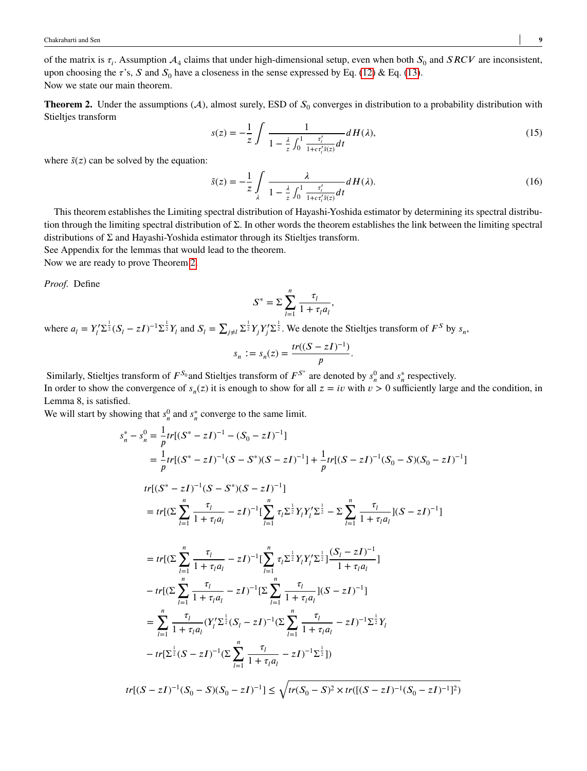of the matrix is  $\tau_i$ . Assumption  $A_4$  claims that under high-dimensional setup, even when both  $S_0$  and  $SRCV$  are inconsistent, upon choosing the  $\tau$ 's, *S* and  $S_0$  have a closeness in the sense expressed by Eq. [\(12\)](#page-7-1) & Eq. [\(13\)](#page-7-2). Now we state our main theorem.

<span id="page-8-1"></span><span id="page-8-0"></span>**Theorem 2.** Under the assumptions  $(A)$ , almost surely, ESD of  $S_0$  converges in distribution to a probability distribution with Stieltjes transform

$$
s(z) = -\frac{1}{z} \int \frac{1}{1 - \frac{\lambda}{z} \int_0^1 \frac{\tau'_t}{1 + c \tau'_t \tilde{s}(z)} dt} dH(\lambda),\tag{15}
$$

where  $\tilde{s}(z)$  can be solved by the equation:

<span id="page-8-2"></span>
$$
\tilde{s}(z) = -\frac{1}{z} \int\limits_{\lambda} \frac{\lambda}{1 - \frac{\lambda}{z} \int_0^1 \frac{\tau'_t}{1 + c \tau'_t \tilde{s}(z)} dt} dH(\lambda). \tag{16}
$$

This theorem establishes the Limiting spectral distribution of Hayashi-Yoshida estimator by determining its spectral distribution through the limiting spectral distribution of Σ. In other words the theorem establishes the link between the limiting spectral distributions of Σ and Hayashi-Yoshida estimator through its Stieltjes transform. See Appendix for the lemmas that would lead to the theorem.

Now we are ready to prove Theorem [2.](#page-8-0)

*Proof.* Define

$$
S^* = \sum_{l=1}^n \frac{\tau_l}{1 + \tau_l a_l},
$$

where  $a_l = Y_l' \Sigma^{\frac{1}{2}} (S_l - zI)^{-1} \Sigma^{\frac{1}{2}} Y_l$  and  $S_l = \sum_{j \neq l} \Sigma^{\frac{1}{2}} Y_j Y_j' \Sigma^{\frac{1}{2}}$ . We denote the Stieltjes transform of  $F^S$  by  $s_n$ ,

$$
s_n := s_n(z) = \frac{tr((S - zI)^{-1})}{p}.
$$

Similarly, Stieltjes transform of  $F^{S_0}$  and Stieltjes transform of  $F^{S^*}$  are denoted by  $s_n^0$  and  $s_n^*$  respectively.

In order to show the convergence of  $s_n(z)$  it is enough to show for all  $z = iv$  with  $v > 0$  sufficiently large and the condition, in Lemma 8, is satisfied.

We will start by showing that  $s_n^0$  and  $s_n^*$  converge to the same limit.

$$
s_n^* - s_n^0 = \frac{1}{p} tr[(S^* - zI)^{-1} - (S_0 - zI)^{-1}]
$$
  
\n
$$
= \frac{1}{p} tr[(S^* - zI)^{-1} (S - S^*)(S - zI)^{-1}] + \frac{1}{p} tr[(S - zI)^{-1} (S_0 - S)(S_0 - zI)^{-1}]
$$
  
\n
$$
tr[(S^* - zI)^{-1} (S - S^*)(S - zI)^{-1}]
$$
  
\n
$$
= tr[(\sum_{l=1}^n \frac{\tau_l}{1 + \tau_l a_l} - zI)^{-1} [\sum_{l=1}^n \tau_l \sum_{l=1}^{\frac{1}{2}} Y_l Y_l' \sum_{l=1}^{\frac{1}{2}} - \sum_{l=1}^n \frac{\tau_l}{1 + \tau_l a_l} [(S - zI)^{-1}]
$$
  
\n
$$
= tr[(\sum_{l=1}^n \frac{\tau_l}{1 + \tau_l a_l} - zI)^{-1} [\sum_{l=1}^n \tau_l \sum_{l=1}^{\frac{1}{2}} Y_l Y_l' \sum_{l=1}^{\frac{1}{2}} \frac{(S_l - zI)^{-1}}{1 + \tau_l a_l}]
$$
  
\n
$$
- tr[(\sum_{l=1}^n \frac{\tau_l}{1 + \tau_l a_l} - zI)^{-1} [\sum_{l=1}^n \frac{\tau_l}{1 + \tau_l a_l} [(S - zI)^{-1}]
$$
  
\n
$$
= \sum_{l=1}^n \frac{\tau_l}{1 + \tau_l a_l} (Y_l' \sum_{l=1}^{\frac{1}{2}} (S_l - zI)^{-1} (\sum_{l=1}^n \frac{\tau_l}{1 + \tau_l a_l} - zI)^{-1} \sum_{l=1}^{\frac{1}{2}} Y_l
$$
  
\n
$$
- tr[\sum_{l=1}^{\frac{1}{2}} (S - zI)^{-1} (\sum_{l=1}^n \frac{\tau_l}{1 + \tau_l a_l} - zI)^{-1} \sum_{l=1}^{\frac{1}{2}} ])
$$
  
\n
$$
tr[(S - zI)^{-1} (S_0 - S)(S_0 - zI)^{-1}] \leq \sqrt{tr(S_0 - S)^2 \times tr([(S - zI)^{-1}(S_0 - zI)^{-1}]^2)}
$$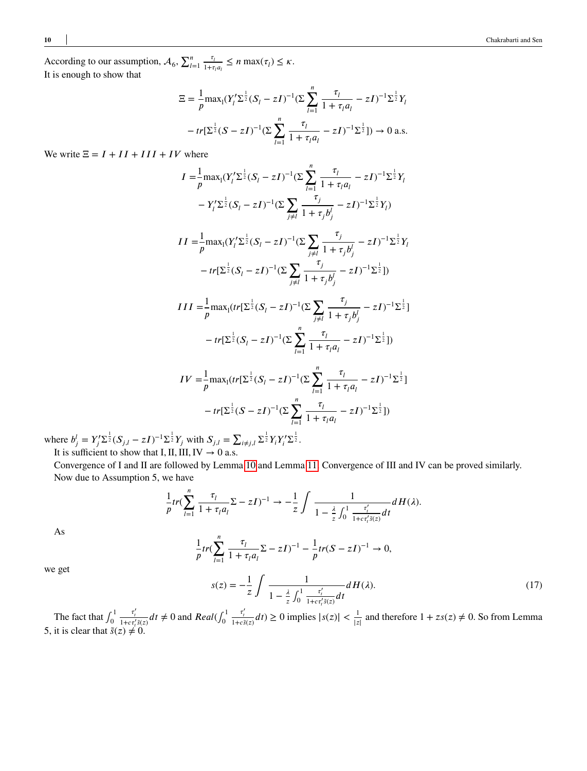According to our assumption,  $A_6$ ,  $\sum_{l_1}^{n_2} A_l$  $\frac{n}{l=1}$   $\frac{\tau_i}{1+\tau}$  $\frac{\tau_l}{1+\tau_l a_l} \leq n \max(\tau_l) \leq \kappa.$ It is enough to show that

$$
\Xi = \frac{1}{p} \max_{I} (Y_{I}^{\prime} \Sigma^{\frac{1}{2}} (S_{I} - zI)^{-1} (\Sigma \sum_{l=1}^{n} \frac{\tau_{l}}{1 + \tau_{l} a_{l}} - zI)^{-1} \Sigma^{\frac{1}{2}} Y_{l}
$$

$$
- tr[\Sigma^{\frac{1}{2}} (S - zI)^{-1} (\Sigma \sum_{l=1}^{n} \frac{\tau_{l}}{1 + \tau_{l} a_{l}} - zI)^{-1} \Sigma^{\frac{1}{2}}]) \to 0 \text{ a.s.}
$$

We write  $\Xi = I + II + III + IV$  where

$$
I = \frac{1}{p} \max_{I} (Y_{I}^{\prime} \Sigma^{\frac{1}{2}} (S_{I} - zI)^{-1} (\Sigma \sum_{l=1}^{n} \frac{\tau_{l}}{1 + \tau_{l} a_{l}} - zI)^{-1} \Sigma^{\frac{1}{2}} Y_{l}
$$

$$
-Y_{I}^{\prime} \Sigma^{\frac{1}{2}} (S_{I} - zI)^{-1} (\Sigma \sum_{j \neq l} \frac{\tau_{j}}{1 + \tau_{j} b_{j}^{l}} - zI)^{-1} \Sigma^{\frac{1}{2}} Y_{l})
$$

$$
II = \frac{1}{p} \max_{1} (Y_{l}' \Sigma^{\frac{1}{2}} (S_{l} - zI)^{-1} (\Sigma \sum_{j \neq l} \frac{\tau_{j}}{1 + \tau_{j} b_{j}^{l}} - zI)^{-1} \Sigma^{\frac{1}{2}} Y_{l}
$$

$$
- tr[\Sigma^{\frac{1}{2}} (S_{l} - zI)^{-1} (\Sigma \sum_{j \neq l} \frac{\tau_{j}}{1 + \tau_{j} b_{j}^{l}} - zI)^{-1} \Sigma^{\frac{1}{2}}])
$$

$$
III = \frac{1}{p} \max_{1} \left( tr[\Sigma^{\frac{1}{2}}(S_{l} - zI)^{-1} (\Sigma \sum_{j \neq l} \frac{\tau_{j}}{1 + \tau_{j} b_{j}^{l}} - zI)^{-1} \Sigma^{\frac{1}{2}} \right)
$$

$$
- tr[\Sigma^{\frac{1}{2}}(S_{l} - zI)^{-1} (\Sigma \sum_{l=1}^{n} \frac{\tau_{l}}{1 + \tau_{l} a_{l}} - zI)^{-1} \Sigma^{\frac{1}{2}}])
$$

$$
IV = \frac{1}{p} \max_{1} \left( tr[\Sigma^{\frac{1}{2}}(S_{l} - zI)^{-1} (\Sigma \sum_{l=1}^{n} \frac{\tau_{l}}{1 + \tau_{l} a_{l}} - zI)^{-1} \Sigma^{\frac{1}{2}} \right)
$$

$$
- tr[\Sigma^{\frac{1}{2}}(S - zI)^{-1} (\Sigma \sum_{l=1}^{n} \frac{\tau_{l}}{1 + \tau_{l} a_{l}} - zI)^{-1} \Sigma^{\frac{1}{2}}])
$$

where  $b_j^l = Y_j' \Sigma^{\frac{1}{2}} (S_{j,l} - zI)^{-1} \Sigma^{\frac{1}{2}} Y_j$  with  $S_{j,l} = \sum_{i \neq j,l} \Sigma^{\frac{1}{2}} Y_i Y_i' \Sigma^{\frac{1}{2}}$ . It is sufficient to show that I, II, III,  $IV \rightarrow 0$  a.s.

Convergence of I and II are followed by Lemma [10](#page-21-0) and Lemma [11.](#page-23-0) Convergence of III and IV can be proved similarly. Now due to Assumption 5, we have

$$
\frac{1}{p}tr(\sum_{l=1}^n\frac{\tau_l}{1+\tau_l a_l}\Sigma-zI)^{-1}\to-\frac{1}{z}\int\frac{1}{1-\frac{\lambda}{z}\int_0^1\frac{\tau_l'}{1+c\tau_l's(z)}dt}dH(\lambda).
$$

As

<span id="page-9-0"></span>we get

$$
\frac{1}{p}tr(\sum_{l=1}^{n} \frac{\tau_l}{1 + \tau_l a_l} \Sigma - zI)^{-1} - \frac{1}{p}tr(S - zI)^{-1} \to 0,
$$

$$
s(z) = -\frac{1}{z} \int \frac{1}{1 - \frac{\lambda}{z} \int_0^1 \frac{\tau'_t}{1 + c \tau'_t \tilde{s}(z)} dt} dH(\lambda).
$$
 (17)

The fact that  $\int_0^1$  $\mathbf{0}$  $\frac{\tau'_i}{1 + c \tau'_i \tilde{s}(z)} dt \neq 0$  and  $Real(\int_0^1$  $\mathbf{0}$  $\frac{\tau'_t}{1 + c\tilde{s}(z)} dt$   $\geq 0$  implies  $|s(z)| < \frac{1}{|z|}$  $\frac{1}{|z|}$  and therefore  $1 + zs(z) \neq 0$ . So from Lemma 5, it is clear that  $\tilde{s}(z) \neq 0$ .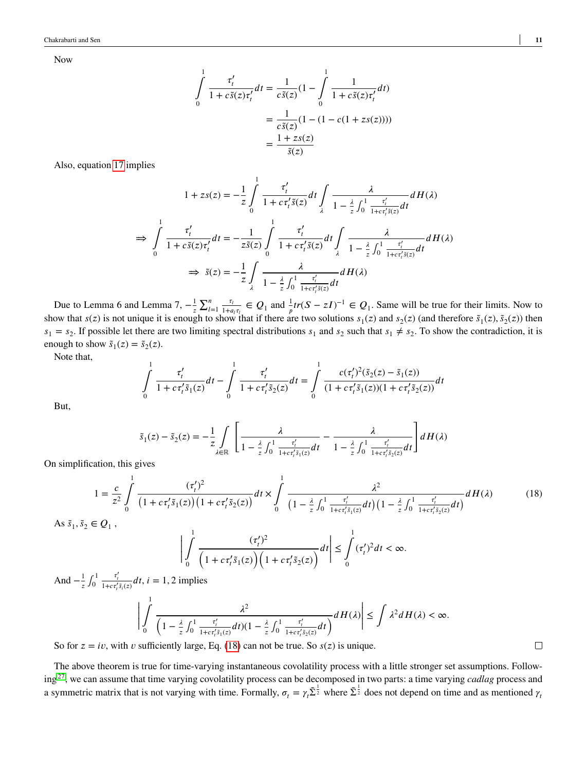Now

$$
\int_{0}^{1} \frac{\tau'_{t}}{1 + c\tilde{s}(z)\tau'_{t}} dt = \frac{1}{c\tilde{s}(z)} (1 - \int_{0}^{1} \frac{1}{1 + c\tilde{s}(z)\tau'_{t}} dt)
$$

$$
= \frac{1}{c\tilde{s}(z)} (1 - (1 - c(1 + zs(z))))
$$

$$
= \frac{1 + zs(z)}{\tilde{s}(z)}
$$

Also, equation [17](#page-9-0) implies

$$
1 + zs(z) = -\frac{1}{z} \int_{0}^{1} \frac{\tau'_{t}}{1 + c\tau'_{t}\tilde{s}(z)} dt \int_{\lambda} \frac{\lambda}{1 - \frac{\lambda}{z} \int_{0}^{1} \frac{\tau'_{t}}{1 + c\tau'_{t}\tilde{s}(z)} dt} dH(\lambda)
$$
  
\n
$$
\Rightarrow \int_{0}^{1} \frac{\tau'_{t}}{1 + c\tilde{s}(z)\tau'_{t}} dt = -\frac{1}{z\tilde{s}(z)} \int_{0}^{1} \frac{\tau'_{t}}{1 + c\tau'_{t}\tilde{s}(z)} dt \int_{\lambda} \frac{\lambda}{1 - \frac{\lambda}{z} \int_{0}^{1} \frac{\tau'_{t}}{1 + c\tau'_{t}\tilde{s}(z)} dt} dH(\lambda)
$$
  
\n
$$
\Rightarrow \tilde{s}(z) = -\frac{1}{z} \int_{\lambda} \frac{\lambda}{1 - \frac{\lambda}{z} \int_{0}^{1} \frac{\tau'_{t}}{1 + c\tau'_{t}\tilde{s}(z)} dt} dH(\lambda)
$$

Due to Lemma 6 and Lemma 7,  $-\frac{1}{5}$ *𝑧* ∑*<sup>𝑛</sup>*  $\frac{n}{l=1}$   $\frac{\tau_l}{1+a}$  $\frac{\tau_i}{1+a_i\tau_i} \in Q_1$  and  $\frac{1}{p}tr(S-zI)^{-1} \in Q_1$ . Same will be true for their limits. Now to show that  $s(z)$  is not unique it is enough to show that if there are two solutions  $s_1(z)$  and  $s_2(z)$  (and therefore  $\tilde{s}_1(z)$ ,  $\tilde{s}_2(z)$ ) then  $s_1 = s_2$ . If possible let there are two limiting spectral distributions  $s_1$  and  $s_2$  such that  $s_1 \neq s_2$ . To show the contradiction, it is enough to show  $\tilde{s}_1(z) = \tilde{s}_2(z)$ .

Note that,

$$
\int_{0}^{1} \frac{\tau'_{t}}{1 + c\tau'_{t}\tilde{s}_{1}(z)}dt - \int_{0}^{1} \frac{\tau'_{t}}{1 + c\tau'_{t}\tilde{s}_{2}(z)}dt = \int_{0}^{1} \frac{c(\tau'_{t})^{2}(\tilde{s}_{2}(z) - \tilde{s}_{1}(z))}{(1 + c\tau'_{t}\tilde{s}_{1}(z))(1 + c\tau'_{t}\tilde{s}_{2}(z))}dt
$$

But,

<span id="page-10-0"></span>
$$
\tilde{s}_1(z) - \tilde{s}_2(z) = -\frac{1}{z} \int_{\lambda \in \mathbb{R}} \left[ \frac{\lambda}{1 - \frac{\lambda}{z} \int_0^1 \frac{\tau'_i}{1 + c \tau'_i \tilde{s}_1(z)} dt} - \frac{\lambda}{1 - \frac{\lambda}{z} \int_0^1 \frac{\tau'_i}{1 + c \tau'_i \tilde{s}_2(z)} dt} \right] dH(\lambda)
$$

On simplification, this gives

$$
1 = \frac{c}{z^2} \int_0^1 \frac{(\tau'_t)^2}{\left(1 + c\tau'_t \tilde{s}_1(z)\right)\left(1 + c\tau'_t \tilde{s}_2(z)\right)} dt \times \int_0^1 \frac{\lambda^2}{\left(1 - \frac{\lambda}{z} \int_0^1 \frac{\tau'_t}{1 + c\tau'_t \tilde{s}_1(z)} dt\right)\left(1 - \frac{\lambda}{z} \int_0^1 \frac{\tau'_t}{1 + c\tau'_t \tilde{s}_2(z)} dt\right)} dH(\lambda)
$$
(18)

As 
$$
\tilde{s}_1, \tilde{s}_2 \in Q_1
$$
,

$$
\left|\int_{0}^{1} \frac{(\tau'_t)^2}{\left(1 + c\tau'_t \tilde{s}_1(z)\right)\left(1 + c\tau'_t \tilde{s}_2(z)\right)} dt\right| \leq \int_{0}^{1} (\tau'_t)^2 dt < \infty.
$$

And  $-\frac{1}{7}$  $\frac{1}{z}$   $\int_0^1$  $\boldsymbol{0}$  $\frac{\tau'_i}{1 + c \tau'_i \tilde{s}_i(z)} dt$ ,  $i = 1, 2$  implies

$$
\left|\int_{0}^{1} \frac{\lambda^{2}}{\left(1-\frac{\lambda}{z}\int_{0}^{1}\frac{\tau'_{i}}{1+ct'_{i}\bar{s}_{1}(z)}dt\right)(1-\frac{\lambda}{z}\int_{0}^{1}\frac{\tau'_{i}}{1+ct'_{i}\bar{s}_{2}(z)}dt\right)}dH(\lambda)\right| \leq \int \lambda^{2}dH(\lambda) < \infty.
$$

So for  $z = iv$ , with *v* sufficiently large, Eq. [\(18\)](#page-10-0) can not be true. So  $s(z)$  is unique.

The above theorem is true for time-varying instantaneous covolatility process with a little stronger set assumptions. Following[27](#page-19-10), we can assume that time varying covolatility process can be decomposed in two parts: a time varying *cadlag* process and a symmetric matrix that is not varying with time. Formally,  $\sigma_t = \gamma_t \tilde{\Sigma}^{\frac{1}{2}}$  where  $\tilde{\Sigma}^{\frac{1}{2}}$  does not depend on time and as mentioned  $\gamma_t$ 

 $\Box$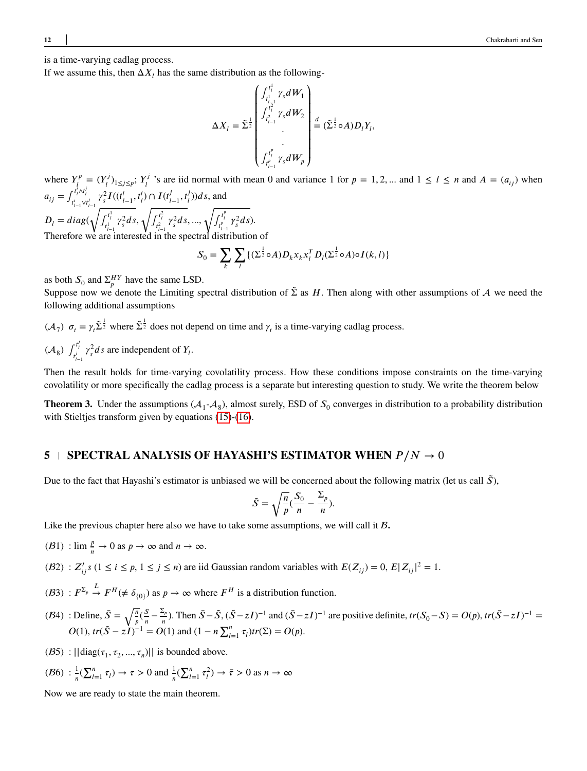is a time-varying cadlag process.

If we assume this, then  $\Delta X_i$  has the same distribution as the following-

$$
\Delta X_{l} = \tilde{\Sigma}^{\frac{1}{2}}\begin{pmatrix} \int_{t_{l-1}^{1}}^{t_{l}^{1}} \gamma_{s} dW_{1} \\ \int_{t_{l-1}^{2}}^{t_{l}^{2}} \gamma_{s} dW_{2} \\ \cdot \\ \cdot \\ \cdot \\ \int_{t_{l-1}^{p}}^{t_{l}^{p}} \gamma_{s} dW_{p} \end{pmatrix} \stackrel{d}{=} (\tilde{\Sigma}^{\frac{1}{2}} \circ A) D_{l} Y_{l},
$$

where  $Y_l^p$  $I^{r,p}_{l} = (Y_l^{j})$ <sup>*rj*</sup>)<sub>1≤*j*≤*p*</sub>; *Y*<sub>*i*</sub><sup>*j*</sup>  $\frac{f}{l}$  's are iid normal with mean 0 and variance 1 for  $p = 1, 2, ...$  and  $1 \le l \le n$  and  $A = (a_{ij})$  when  $a_{ij} = \int_{t_{i-1}^i \vee t_{i-1}^j}^{t_i^i \wedge t_{i-1}^j} \gamma_s^2 I((t_{i-1}^i, t_i^i) \cap I(t_{i-1}^j, t_i^j)) ds$ , and  $D_l = diag(\sqrt{f_{t_{l-1}^1}^{t_l^1} \gamma_s^2 ds}, \sqrt{f_{t_{l-1}^2}^{t_l^2} \gamma_s^2 ds}, ..., \sqrt{f_{t_{l-1}^p}^{t_l^p} \gamma_s^2 ds}).$  $($ <sup>-1</sup> Therefore we are interested in the spectral distribution of

$$
S_0 = \sum_{k} \sum_{l} \{ (\Sigma^{\frac{1}{2}} \circ A) D_k x_k x_l^T D_l (\Sigma^{\frac{1}{2}} \circ A) \circ I(k, l) \}
$$

as both  $S_0$  and  $\Sigma_p^{HY}$  have the same LSD.

Suppose now we denote the Limiting spectral distribution of  $\tilde{\Sigma}$  as *H*. Then along with other assumptions of A we need the following additional assumptions

 $(\mathcal{A}_7)$   $\sigma_t = \gamma_t \tilde{\Sigma}^{\frac{1}{2}}$  where  $\tilde{\Sigma}^{\frac{1}{2}}$  does not depend on time and  $\gamma_t$  is a time-varying cadlag process.  $(A_8)$   $\int_{t'_{i-1}}^{t'_i} \gamma_s^2 ds$  are independent of  $Y_i$ . *𝑙*−1

Then the result holds for time-varying covolatility process. How these conditions impose constraints on the time-varying covolatility or more specifically the cadlag process is a separate but interesting question to study. We write the theorem below

**Theorem 3.** Under the assumptions  $(A_1 - A_8)$ , almost surely, ESD of  $S_0$  converges in distribution to a probability distribution with Stieltjes transform given by equations [\(15\)](#page-8-1)-[\(16\)](#page-8-2).

## **5 SPECTRAL ANALYSIS OF HAYASHI'S ESTIMATOR WHEN**  $P/N \rightarrow 0$

Due to the fact that Hayashi's estimator is unbiased we will be concerned about the following matrix (let us call  $\tilde{S}$ ),

$$
\tilde{S} = \sqrt{\frac{n}{p}} (\frac{S_0}{n} - \frac{\Sigma_p}{n}).
$$

Like the previous chapter here also we have to take some assumptions, we will call it **B**.

 $(B1)$ :  $\lim_{n \to \infty} \frac{p}{n} \to 0$  as  $p \to \infty$  and  $n \to \infty$ .

- $(2, 2)$ :  $Z'_{ij}$ s  $(1 \le i \le p, 1 \le j \le n)$  are iid Gaussian random variables with  $E(Z_{ij}) = 0, E|Z_{ij}|^2 = 1$ .
- (B3) :  $F^{\Sigma_p} \stackrel{L}{\rightarrow} F^H(\neq \delta_{\{0\}})$  as  $p \to \infty$  where  $F^H$  is a distribution function.
- $(B4)$ : Define,  $\bar{S} = \sqrt{\frac{n}{s}}$  $\frac{n}{p}(\frac{S}{n})$  $\frac{S}{n} - \frac{\Sigma_p}{n}$  $\sum_{n=0}^{\infty}$  Then  $\bar{S} - \tilde{S}$ ,  $(\tilde{S} - zI)^{-1}$  and  $(\bar{S} - zI)^{-1}$  are positive definite,  $tr(S_0 - S) = O(p)$ ,  $tr(\bar{S} - zI)^{-1} =$  $O(1)$ ,  $tr(\tilde{S} - zI)^{-1} = O(1)$  and  $(1 - n \sum_{l=1}^{n} \tau_l)tr(\Sigma) = O(p)$ .
- (B5) :  $||diag(\tau_1, \tau_2, ..., \tau_n)||$  is bounded above.

$$
(B6) : \frac{1}{n} \left( \sum_{l=1}^{n} \tau_l \right) \to \tau > 0 \text{ and } \frac{1}{n} \left( \sum_{l=1}^{n} \tau_l^2 \right) \to \bar{\tau} > 0 \text{ as } n \to \infty
$$

Now we are ready to state the main theorem.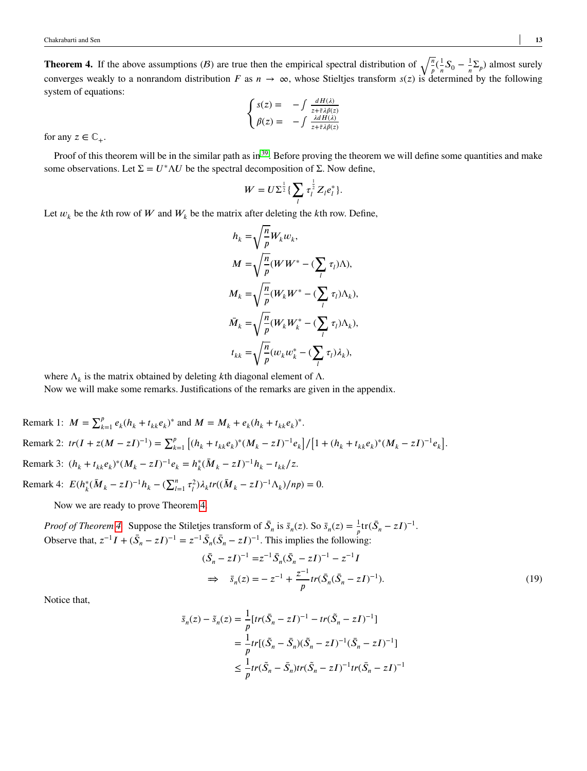<span id="page-12-0"></span>**Theorem 4.** If the above assumptions (*B*) are true then the empirical spectral distribution of  $\sqrt{\frac{n}{p}}$  ( $\frac{1}{n}$  $\frac{1}{n}S_0 - \frac{1}{n}$  $\frac{1}{n}\sum_{p}$  almost surely converges weakly to a nonrandom distribution *F* as  $n \to \infty$ , whose Stieltjes transform  $s(z)$  is determined by the following system of equations:  $\epsilon$ 

$$
\begin{cases}\ns(z) = -\int \frac{dH(\lambda)}{z + \bar{\tau}\lambda \beta(z)} \\
\beta(z) = -\int \frac{\lambda dH(\lambda)}{z + \bar{\tau}\lambda \beta(z)}\n\end{cases}
$$

for any  $z \in \mathbb{C}_+$ .

Proof of this theorem will be in the similar path as in  $39$ . Before proving the theorem we will define some quantities and make some observations. Let  $\Sigma = U^* \Lambda U$  be the spectral decomposition of Σ. Now define,

$$
W = U \Sigma^{\frac{1}{2}} \{ \sum_{l} \tau_l^{\frac{1}{2}} Z_l e_l^* \}.
$$

Let  $w_k$  be the *k*th row of *W* and  $W_k$  be the matrix after deleting the *k*th row. Define,

$$
h_k = \sqrt{\frac{n}{p}} W_k w_k,
$$
  
\n
$$
M = \sqrt{\frac{n}{p}} (W W^* - (\sum_l \tau_l) \Lambda),
$$
  
\n
$$
M_k = \sqrt{\frac{n}{p}} (W_k W^* - (\sum_l \tau_l) \Lambda_k),
$$
  
\n
$$
\bar{M}_k = \sqrt{\frac{n}{p}} (W_k W_k^* - (\sum_l \tau_l) \Lambda_k),
$$
  
\n
$$
t_{kk} = \sqrt{\frac{n}{p}} (w_k w_k^* - (\sum_l \tau_l) \lambda_k),
$$

where  $\Lambda_k$  is the matrix obtained by deleting *k*th diagonal element of  $\Lambda$ .

Now we will make some remarks. Justifications of the remarks are given in the appendix.

Remark 1:  $M = \sum_{k=1}^{p} e_k (h_k + t_{kk} e_k)^*$  and  $M = M_k + e_k (h_k + t_{kk} e_k)^*$ . Remark 2:  $tr(I + z(M - zI)^{-1}) = \sum_{k=1}^{p}$  $[(h_k + t_{kk}e_k)^*(M_k - zI)^{-1}e_k]/[1 + (h_k + t_{kk}e_k)^*(M_k - zI)^{-1}e_k].$ Remark 3:  $(h_k + t_{kk}e_k)^*(M_k - zI)^{-1}e_k = h_k^*(\overline{M}_k - zI)^{-1}h_k - t_{kk}/z.$ Remark 4:  $E(h_k^*(\bar{M}_k - zI)^{-1}h_k - (\sum_{l=1}^n \tau_l^2)\lambda_k tr((\bar{M}_k - zI)^{-1}\Lambda_k)/np) = 0.$ 

Now we are ready to prove Theorem [4.](#page-12-0)

*Proof of Theorem [4.](#page-12-0)* Suppose the Stiletjes transform of  $\bar{S}_n$  is  $\bar{s}_n(z)$ . So  $\bar{s}_n(z) = \frac{1}{p} \text{tr}(\bar{S}_n - zI)^{-1}$ . Observe that,  $z^{-1}I + (\bar{S}_n - zI)^{-1} = z^{-1}\bar{S}_n(\bar{S}_n - zI)^{-1}$ . This implies the following:

<span id="page-12-1"></span>
$$
(\bar{S}_n - zI)^{-1} = z^{-1} \bar{S}_n (\bar{S}_n - zI)^{-1} - z^{-1}I
$$
  
\n
$$
\Rightarrow \bar{s}_n(z) = -z^{-1} + \frac{z^{-1}}{p} tr(\bar{S}_n (\bar{S}_n - zI)^{-1}).
$$
\n(19)

Notice that,

$$
\begin{aligned} \bar{s}_n(z) - \tilde{s}_n(z) &= \frac{1}{p} \left[ tr(\bar{S}_n - zI)^{-1} - tr(\tilde{S}_n - zI)^{-1} \right] \\ &= \frac{1}{p} tr[(\tilde{S}_n - \bar{S}_n)(\tilde{S}_n - zI)^{-1}(\bar{S}_n - zI)^{-1}] \\ &\le \frac{1}{p} tr(\tilde{S}_n - \bar{S}_n) tr(\tilde{S}_n - zI)^{-1} tr(\bar{S}_n - zI)^{-1} \end{aligned}
$$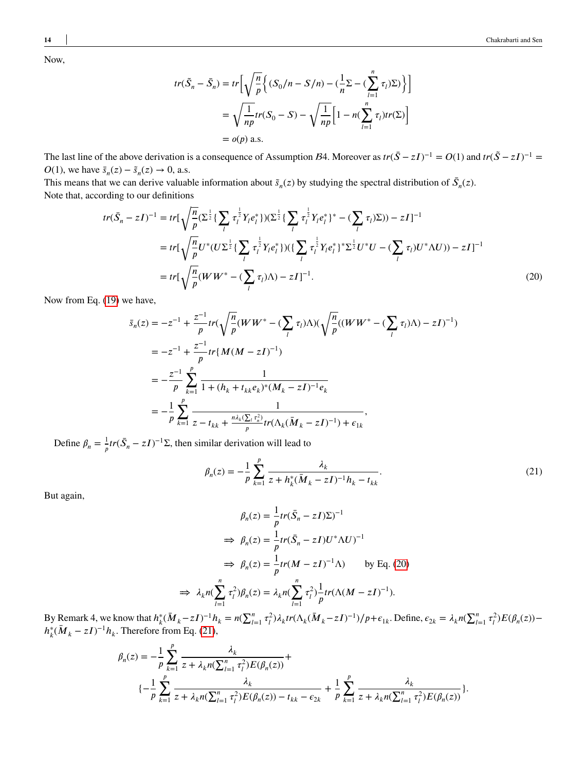Now,

$$
tr(\tilde{S}_n - \bar{S}_n) = tr \left[ \sqrt{\frac{n}{p}} \left\{ (S_0/n - S/n) - (\frac{1}{n} \Sigma - (\sum_{l=1}^n \tau_l) \Sigma) \right\} \right]
$$
  
=  $\sqrt{\frac{1}{np}} tr(S_0 - S) - \sqrt{\frac{1}{np}} \left[ 1 - n(\sum_{l=1}^n \tau_l) tr(\Sigma) \right]$   
=  $o(p)$  a.s.

The last line of the above derivation is a consequence of Assumption B4. Moreover as  $tr(\bar{S} - zI)^{-1} = O(1)$  and  $tr(\tilde{S} - zI)^{-1} = O(1)$  $O(1)$ , we have  $\bar{s}_n(z) - \tilde{s}_n(z) \to 0$ , a.s.

This means that we can derive valuable information about  $\tilde{s}_n(z)$  by studying the spectral distribution of  $\bar{S}_n(z)$ . Note that, according to our definitions

$$
tr(\bar{S}_n - zI)^{-1} = tr[\sqrt{\frac{n}{p}} (\Sigma^{\frac{1}{2}} \{ \sum_l \tau_l^{\frac{1}{2}} Y_l e_l^* \} ) (\Sigma^{\frac{1}{2}} \{ \sum_l \tau_l^{\frac{1}{2}} Y_l e_l^* \}^* - (\sum_l \tau_l) \Sigma)) - zI]^{-1}
$$
  
\n
$$
= tr[\sqrt{\frac{n}{p}} U^* (U \Sigma^{\frac{1}{2}} \{ \sum_l \tau_l^{\frac{1}{2}} Y_l e_l^* \} ) (\{ \sum_l \tau_l^{\frac{1}{2}} Y_l e_l^* \}^* \Sigma^{\frac{1}{2}} U^* U - (\sum_l \tau_l) U^* \Lambda U)) - zI]^{-1}
$$
  
\n
$$
= tr[\sqrt{\frac{n}{p}} (W W^* - (\sum_l \tau_l) \Lambda) - zI]^{-1}.
$$
\n(20)

Now from Eq. [\(19\)](#page-12-1) we have,

$$
\bar{s}_n(z) = -z^{-1} + \frac{z^{-1}}{p} tr(\sqrt{\frac{n}{p}} (WW^* - (\sum_l \tau_l) \Lambda) (\sqrt{\frac{n}{p}} ((WW^* - (\sum_l \tau_l) \Lambda) - zI)^{-1})
$$
\n
$$
= -z^{-1} + \frac{z^{-1}}{p} tr\{M(M - zI)^{-1}\}
$$
\n
$$
= -\frac{z^{-1}}{p} \sum_{k=1}^p \frac{1}{1 + (h_k + t_{kk}e_k)^*(M_k - zI)^{-1}e_k}
$$
\n
$$
= -\frac{1}{p} \sum_{k=1}^p \frac{1}{z - t_{kk} + \frac{n\lambda_k(\sum_l \tau_n^2)}{p} tr(\Lambda_k(\bar{M}_k - zI)^{-1}) + \epsilon_{1k}},
$$

Define  $\beta_n = \frac{1}{n}$  $\frac{1}{p}tr(\bar{S}_n - zI)^{-1}\Sigma$ , then similar derivation will lead to

<span id="page-13-1"></span><span id="page-13-0"></span>
$$
\beta_n(z) = -\frac{1}{p} \sum_{k=1}^p \frac{\lambda_k}{z + h_k^*(\bar{M}_k - zI)^{-1}h_k - t_{kk}}.
$$
\n(21)

But again,

$$
\beta_n(z) = \frac{1}{p} tr(\bar{S}_n - zI) \Sigma)^{-1}
$$
  
\n
$$
\Rightarrow \beta_n(z) = \frac{1}{p} tr(\bar{S}_n - zI) U^* \Lambda U)^{-1}
$$
  
\n
$$
\Rightarrow \beta_n(z) = \frac{1}{p} tr(M - zI)^{-1} \Lambda) \qquad \text{by Eq. (20)}
$$
  
\n
$$
\Rightarrow \lambda_k n(\sum_{l=1}^n \tau_l^2) \beta_n(z) = \lambda_k n(\sum_{l=1}^n \tau_l^2) \frac{1}{p} tr(\Lambda (M - zI)^{-1}).
$$

By Remark 4, we know that  $h_k^*(\overline{M}_k - zI)^{-1}h_k = n(\sum_{l=1}^n \tau_l^2)\lambda_k tr(\Lambda_k(\overline{M}_k - zI)^{-1})/p + \epsilon_{1k}$ . Define,  $\epsilon_{2k} = \lambda_k n(\sum_{l=1}^n \tau_l^2)E(\beta_n(z))$  $h_k^*(\bar{M}_k - zI)^{-1}h_k$ . Therefore from Eq. [\(21\)](#page-13-1),

$$
\begin{split} \beta_n(z) & = -\frac{1}{p} \sum_{k=1}^p \frac{\lambda_k}{z + \lambda_k n (\sum_{l=1}^n \tau_l^2) E(\beta_n(z))} + \\ & \big\{ -\frac{1}{p} \sum_{k=1}^p \frac{\lambda_k}{z + \lambda_k n (\sum_{l=1}^n \tau_l^2) E(\beta_n(z)) - t_{kk} - \epsilon_{2k}} + \frac{1}{p} \sum_{k=1}^p \frac{\lambda_k}{z + \lambda_k n (\sum_{l=1}^n \tau_l^2) E(\beta_n(z))} \big\}. \end{split}
$$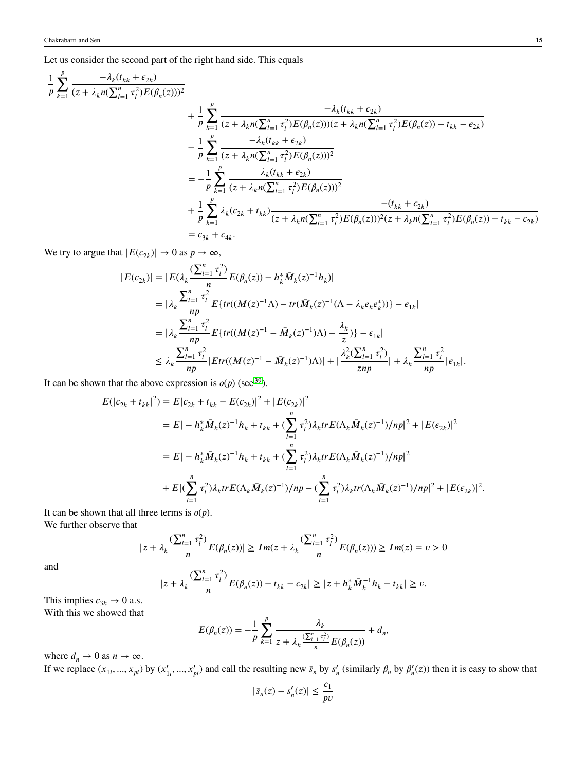Let us consider the second part of the right hand side. This equals

$$
\frac{1}{p} \sum_{k=1}^{p} \frac{-\lambda_{k}(t_{kk} + \epsilon_{2k})}{(z + \lambda_{k}n(\sum_{l=1}^{n} \tau_{l}^{2})E(\beta_{n}(z)))^{2}} + \frac{1}{p} \sum_{k=1}^{p} \frac{-\lambda_{k}(t_{kk} + \epsilon_{2k})}{(z + \lambda_{k}n(\sum_{l=1}^{n} \tau_{l}^{2})E(\beta_{n}(z)))(z + \lambda_{k}n(\sum_{l=1}^{n} \tau_{l}^{2})E(\beta_{n}(z)) - t_{kk} - \epsilon_{2k})} - \frac{1}{p} \sum_{k=1}^{p} \frac{-\lambda_{k}(t_{kk} + \epsilon_{2k})}{(z + \lambda_{k}n(\sum_{l=1}^{n} \tau_{l}^{2})E(\beta_{n}(z)))^{2}} = -\frac{1}{p} \sum_{k=1}^{p} \frac{\lambda_{k}(t_{kk} + \epsilon_{2k})}{(z + \lambda_{k}n(\sum_{l=1}^{n} \tau_{l}^{2})E(\beta_{n}(z)))^{2}} + \frac{1}{p} \sum_{k=1}^{p} \lambda_{k}(\epsilon_{2k} + t_{kk}) \frac{-(t_{kk} + \epsilon_{2k})}{(z + \lambda_{k}n(\sum_{l=1}^{n} \tau_{l}^{2})E(\beta_{n}(z)))^{2}(z + \lambda_{k}n(\sum_{l=1}^{n} \tau_{l}^{2})E(\beta_{n}(z))) - t_{kk} - \epsilon_{2k})} = \epsilon_{3k} + \epsilon_{4k}.
$$

We try to argue that  $|E(\epsilon_{2k})| \to 0$  as  $p \to \infty$ ,

$$
|E(\epsilon_{2k})| = |E(\lambda_k \frac{(\sum_{l=1}^n \tau_l^2)}{n} E(\beta_n(z)) - h_k^* \bar{M}_k(z)^{-1} h_k)|
$$
  
\n
$$
= |\lambda_k \frac{\sum_{l=1}^n \tau_l^2}{np} E\{tr((M(z)^{-1}\Lambda) - tr(\bar{M}_k(z)^{-1}(\Lambda - \lambda_k e_k e_k^*))\} - \epsilon_{1k}|
$$
  
\n
$$
= |\lambda_k \frac{\sum_{l=1}^n \tau_l^2}{np} E\{tr((M(z)^{-1} - \bar{M}_k(z)^{-1})\Lambda) - \frac{\lambda_k}{z})\} - \epsilon_{1k}|
$$
  
\n
$$
\leq \lambda_k \frac{\sum_{l=1}^n \tau_l^2}{np} |Etr((M(z)^{-1} - \bar{M}_k(z)^{-1})\Lambda)| + |\frac{\lambda_k^2(\sum_{l=1}^n \tau_l^2)}{znp}| + \lambda_k \frac{\sum_{l=1}^n \tau_l^2}{np} |\epsilon_{1k}|.
$$

It can be shown that the above expression is  $o(p)$  (see <sup>[39](#page-20-1)</sup>).

$$
E(|\epsilon_{2k} + t_{kk}|^2) = E|\epsilon_{2k} + t_{kk} - E(\epsilon_{2k})|^2 + |E(\epsilon_{2k})|^2
$$
  
\n
$$
= E|-h_k^* \bar{M}_k(z)^{-1}h_k + t_{kk} + (\sum_{l=1}^n \tau_l^2)\lambda_k tr E(\Lambda_k \bar{M}_k(z)^{-1})/np|^2 + |E(\epsilon_{2k})|^2
$$
  
\n
$$
= E|-h_k^* \bar{M}_k(z)^{-1}h_k + t_{kk} + (\sum_{l=1}^n \tau_l^2)\lambda_k tr E(\Lambda_k \bar{M}_k(z)^{-1})/np|^2
$$
  
\n
$$
+ E[(\sum_{l=1}^n \tau_l^2)\lambda_k tr E(\Lambda_k \bar{M}_k(z)^{-1})/np - (\sum_{l=1}^n \tau_l^2)\lambda_k tr(\Lambda_k \bar{M}_k(z)^{-1})/np|^2 + |E(\epsilon_{2k})|^2.
$$

It can be shown that all three terms is  $o(p)$ . We further observe that

$$
|z+\lambda_k\frac{(\sum_{l=1}^n\tau_l^2)}{n}E(\beta_n(z))|\ge Im(z+\lambda_k\frac{(\sum_{l=1}^n\tau_l^2)}{n}E(\beta_n(z)))\ge Im(z)=v>0
$$

and

$$
|z+\lambda_k \frac{(\sum_{l=1}^n \tau_l^2)}{n}E(\beta_n(z)) - t_{kk} - \epsilon_{2k}| \geq |z+h_k^* \bar{M}_k^{-1} h_k - t_{kk}| \geq v.
$$

This implies  $\epsilon_{3k} \rightarrow 0$  a.s.

With this we showed that

$$
E(\beta_n(z)) = -\frac{1}{p} \sum_{k=1}^p \frac{\lambda_k}{z + \lambda_k \frac{(\sum_{i=1}^n \tau_i^2)}{n} E(\beta_n(z))} + d_n,
$$

where  $d_n \to 0$  as  $n \to \infty$ .

If we replace  $(x_{1i},...,x_{pi})$  by  $(x'_{1i},...,x'_{pi})$  and call the resulting new  $\bar{s}_n$  by  $s'_n$  (similarly  $\beta_n$  by  $\beta'_n(z)$ ) then it is easy to show that

$$
|\bar{s}_n(z) - s'_n(z)| \le \frac{c_1}{p\upsilon}
$$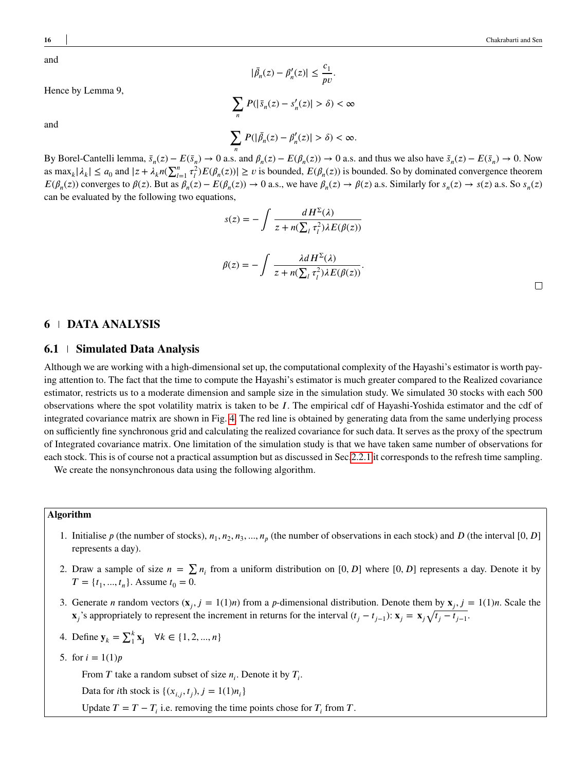and

Hence by Lemma 9,

and

**16** Chakrabarti and Sen

$$
|\bar{\beta}_n(z) - \beta'_n(z)| \le \frac{c_1}{pv}.
$$
  

$$
\sum_n P(|\bar{s}_n(z) - s'_n(z)| > \delta) < \infty
$$
  

$$
\sum_n P(|\bar{\beta}_n(z) - \beta'_n(z)| > \delta) < \infty.
$$

By Borel-Cantelli lemma,  $\bar{s}_n(z) - E(\bar{s}_n) \to 0$  a.s. and  $\beta_n(z) - E(\beta_n(z)) \to 0$  a.s. and thus we also have  $\tilde{s}_n(z) - E(\bar{s}_n) \to 0$ . Now as  $\max_k |\lambda_k| \le a_0$  and  $|z + \lambda_k n(\sum_{l=1}^n \tau_l^2) E(\beta_n(z))| \ge v$  is bounded,  $E(\beta_n(z))$  is bounded. So by dominated convergence theorem  $E(\beta_n(z))$  converges to  $\beta(z)$ . But as  $\beta_n(z) - E(\beta_n(z)) \to 0$  a.s., we have  $\beta_n(z) \to \beta(z)$  a.s. Similarly for  $s_n(z) \to s(z)$  a.s. So  $s_n(z)$ can be evaluated by the following two equations,

$$
s(z) = -\int \frac{dH^{\Sigma}(\lambda)}{z + n(\sum_{l} \tau_{l}^{2})\lambda E(\beta(z))}
$$

$$
\beta(z) = -\int \frac{\lambda dH^{\Sigma}(\lambda)}{z + n(\sum_{l} \tau_{l}^{2})\lambda E(\beta(z))}.
$$

## **6 DATA ANALYSIS**

## <span id="page-15-0"></span>**6.1 Simulated Data Analysis**

Although we are working with a high-dimensional set up, the computational complexity of the Hayashi's estimator is worth paying attention to. The fact that the time to compute the Hayashi's estimator is much greater compared to the Realized covariance estimator, restricts us to a moderate dimension and sample size in the simulation study. We simulated 30 stocks with each 500 observations where the spot volatility matrix is taken to be *𝐼*. The empirical cdf of Hayashi-Yoshida estimator and the cdf of integrated covariance matrix are shown in Fig. [4.](#page-16-0) The red line is obtained by generating data from the same underlying process on sufficiently fine synchronous grid and calculating the realized covariance for such data. It serves as the proxy of the spectrum of Integrated covariance matrix. One limitation of the simulation study is that we have taken same number of observations for each stock. This is of course not a practical assumption but as discussed in Sec[.2.2.1](#page-3-2) it corresponds to the refresh time sampling.

We create the nonsynchronous data using the following algorithm.

## **Algorithm**

- 1. Initialise  $p$  (the number of stocks),  $n_1, n_2, n_3, ..., n_p$  (the number of observations in each stock) and  $D$  (the interval [0,  $D$ ] represents a day).
- 2. Draw a sample of size  $n = \sum n_i$  from a uniform distribution on [0, *D*] where [0, *D*] represents a day. Denote it by  $T = \{t_1, ..., t_n\}$ . Assume  $t_0 = 0$ .
- 3. Generate *n* random vectors  $(\mathbf{x}_j, j = 1(1)n)$  from a *p*-dimensional distribution. Denote them by  $\mathbf{x}_j$ ,  $j = 1(1)n$ . Scale the  $\mathbf{x}_j$ 's appropriately to represent the increment in returns for the interval  $(t_j - t_{j-1})$ :  $\mathbf{x}_j = \mathbf{x}_j \sqrt{t_j - t_{j-1}}$ .

4. Define 
$$
y_k = \sum_{1}^{k} x_j
$$
  $\forall k \in \{1, 2, ..., n\}$ 

5. for  $i = 1(1)p$ 

From *T* take a random subset of size  $n_i$ . Denote it by  $T_i$ .

Data for *i*th stock is  $\{(x_{i,j}, t_j), j = 1(1)n_i\}$ 

Update  $T = T - T_i$  i.e. removing the time points chose for  $T_i$  from  $T$ .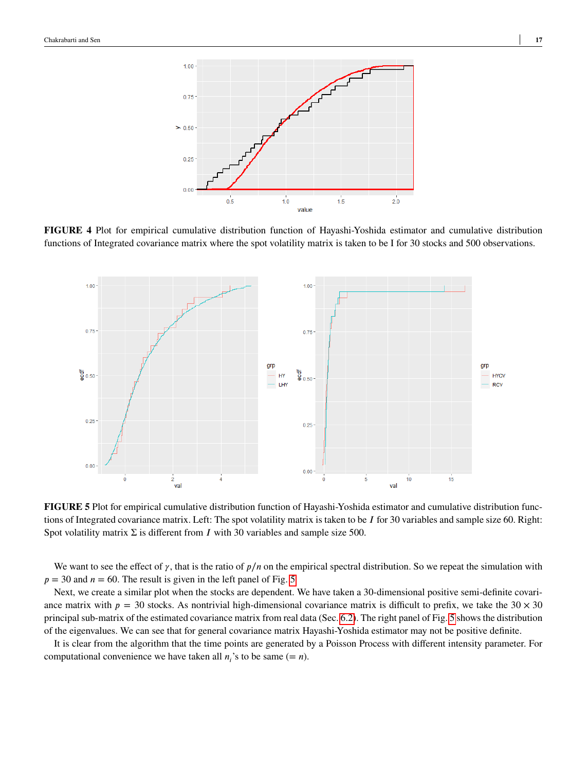<span id="page-16-0"></span>

**FIGURE 4** Plot for empirical cumulative distribution function of Hayashi-Yoshida estimator and cumulative distribution functions of Integrated covariance matrix where the spot volatility matrix is taken to be I for 30 stocks and 500 observations.

<span id="page-16-1"></span>

**FIGURE 5** Plot for empirical cumulative distribution function of Hayashi-Yoshida estimator and cumulative distribution functions of Integrated covariance matrix. Left: The spot volatility matrix is taken to be *I* for 30 variables and sample size 60. Right: Spot volatility matrix  $\Sigma$  is different from *I* with 30 variables and sample size 500.

We want to see the effect of  $\gamma$ , that is the ratio of  $p/n$  on the empirical spectral distribution. So we repeat the simulation with  $p = 30$  and  $n = 60$ . The result is given in the left panel of Fig. [5](#page-16-1)

Next, we create a similar plot when the stocks are dependent. We have taken a 30-dimensional positive semi-definite covariance matrix with  $p = 30$  stocks. As nontrivial high-dimensional covariance matrix is difficult to prefix, we take the  $30 \times 30$ principal sub-matrix of the estimated covariance matrix from real data (Sec. [6.2\)](#page-17-0). The right panel of Fig. [5](#page-16-1) shows the distribution of the eigenvalues. We can see that for general covariance matrix Hayashi-Yoshida estimator may not be positive definite.

It is clear from the algorithm that the time points are generated by a Poisson Process with different intensity parameter. For computational convenience we have taken all  $n_i$ 's to be same (=  $n$ ).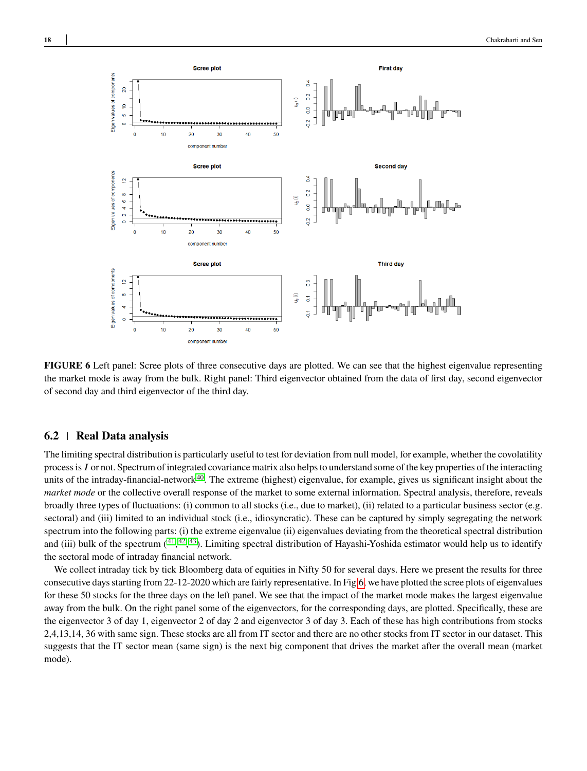<span id="page-17-1"></span>

**FIGURE 6** Left panel: Scree plots of three consecutive days are plotted. We can see that the highest eigenvalue representing the market mode is away from the bulk. Right panel: Third eigenvector obtained from the data of first day, second eigenvector of second day and third eigenvector of the third day.

## <span id="page-17-0"></span>**6.2 Real Data analysis**

The limiting spectral distribution is particularly useful to test for deviation from null model, for example, whether the covolatility process is *𝐼* or not. Spectrum of integrated covariance matrix also helps to understand some of the key properties of the interacting units of the intraday-financial-network<sup>[40](#page-20-2)</sup>. The extreme (highest) eigenvalue, for example, gives us significant insight about the *market mode* or the collective overall response of the market to some external information. Spectral analysis, therefore, reveals broadly three types of fluctuations: (i) common to all stocks (i.e., due to market), (ii) related to a particular business sector (e.g. sectoral) and (iii) limited to an individual stock (i.e., idiosyncratic). These can be captured by simply segregating the network spectrum into the following parts: (i) the extreme eigenvalue (ii) eigenvalues deviating from the theoretical spectral distribution and (iii) bulk of the spectrum (<sup>[41](#page-20-3)</sup>, <sup>[42](#page-20-4)</sup>, <sup>[43](#page-20-5)</sup>). Limiting spectral distribution of Hayashi-Yoshida estimator would help us to identify the sectoral mode of intraday financial network.

We collect intraday tick by tick Bloomberg data of equities in Nifty 50 for several days. Here we present the results for three consecutive days starting from 22-12-2020 which are fairly representative. In Fig[.6,](#page-17-1) we have plotted the scree plots of eigenvalues for these 50 stocks for the three days on the left panel. We see that the impact of the market mode makes the largest eigenvalue away from the bulk. On the right panel some of the eigenvectors, for the corresponding days, are plotted. Specifically, these are the eigenvector 3 of day 1, eigenvector 2 of day 2 and eigenvector 3 of day 3. Each of these has high contributions from stocks 2,4,13,14, 36 with same sign. These stocks are all from IT sector and there are no other stocks from IT sector in our dataset. This suggests that the IT sector mean (same sign) is the next big component that drives the market after the overall mean (market mode).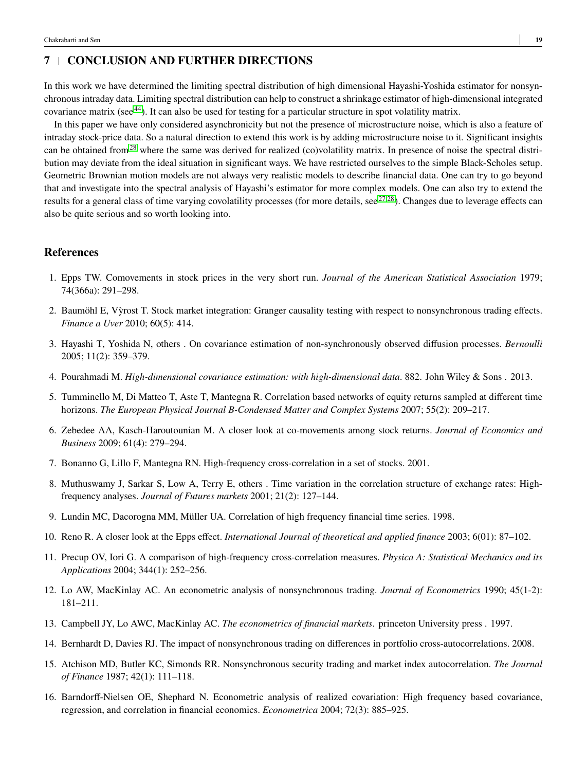## <span id="page-18-16"></span>**7 CONCLUSION AND FURTHER DIRECTIONS**

In this work we have determined the limiting spectral distribution of high dimensional Hayashi-Yoshida estimator for nonsynchronous intraday data. Limiting spectral distribution can help to construct a shrinkage estimator of high-dimensional integrated covariance matrix (see [44](#page-20-6)). It can also be used for testing for a particular structure in spot volatility matrix.

In this paper we have only considered asynchronicity but not the presence of microstructure noise, which is also a feature of intraday stock-price data. So a natural direction to extend this work is by adding microstructure noise to it. Significant insights can be obtained from<sup>[28](#page-19-11)</sup> where the same was derived for realized (co)volatility matrix. In presence of noise the spectral distribution may deviate from the ideal situation in significant ways. We have restricted ourselves to the simple Black-Scholes setup. Geometric Brownian motion models are not always very realistic models to describe financial data. One can try to go beyond that and investigate into the spectral analysis of Hayashi's estimator for more complex models. One can also try to extend the results for a general class of time varying covolatility processes (for more details, see  $27,28$  $27,28$ ). Changes due to leverage effects can also be quite serious and so worth looking into.

## **References**

- <span id="page-18-0"></span>1. Epps TW. Comovements in stock prices in the very short run. *Journal of the American Statistical Association* 1979; 74(366a): 291–298.
- <span id="page-18-1"></span>2. Baumöhl E, Vyrost T. Stock market integration: Granger causality testing with respect to nonsynchronous trading effects. ` *Finance a Uver* 2010; 60(5): 414.
- <span id="page-18-2"></span>3. Hayashi T, Yoshida N, others . On covariance estimation of non-synchronously observed diffusion processes. *Bernoulli* 2005; 11(2): 359–379.
- <span id="page-18-3"></span>4. Pourahmadi M. *High-dimensional covariance estimation: with high-dimensional data*. 882. John Wiley & Sons . 2013.
- <span id="page-18-4"></span>5. Tumminello M, Di Matteo T, Aste T, Mantegna R. Correlation based networks of equity returns sampled at different time horizons. *The European Physical Journal B-Condensed Matter and Complex Systems* 2007; 55(2): 209–217.
- <span id="page-18-5"></span>6. Zebedee AA, Kasch-Haroutounian M. A closer look at co-movements among stock returns. *Journal of Economics and Business* 2009; 61(4): 279–294.
- <span id="page-18-6"></span>7. Bonanno G, Lillo F, Mantegna RN. High-frequency cross-correlation in a set of stocks. 2001.
- <span id="page-18-7"></span>8. Muthuswamy J, Sarkar S, Low A, Terry E, others . Time variation in the correlation structure of exchange rates: Highfrequency analyses. *Journal of Futures markets* 2001; 21(2): 127–144.
- <span id="page-18-8"></span>9. Lundin MC, Dacorogna MM, Müller UA. Correlation of high frequency financial time series. 1998.
- <span id="page-18-9"></span>10. Reno R. A closer look at the Epps effect. *International Journal of theoretical and applied finance* 2003; 6(01): 87–102.
- <span id="page-18-10"></span>11. Precup OV, Iori G. A comparison of high-frequency cross-correlation measures. *Physica A: Statistical Mechanics and its Applications* 2004; 344(1): 252–256.
- <span id="page-18-11"></span>12. Lo AW, MacKinlay AC. An econometric analysis of nonsynchronous trading. *Journal of Econometrics* 1990; 45(1-2): 181–211.
- <span id="page-18-12"></span>13. Campbell JY, Lo AWC, MacKinlay AC. *The econometrics of financial markets*. princeton University press . 1997.
- <span id="page-18-13"></span>14. Bernhardt D, Davies RJ. The impact of nonsynchronous trading on differences in portfolio cross-autocorrelations. 2008.
- <span id="page-18-14"></span>15. Atchison MD, Butler KC, Simonds RR. Nonsynchronous security trading and market index autocorrelation. *The Journal of Finance* 1987; 42(1): 111–118.
- <span id="page-18-15"></span>16. Barndorff-Nielsen OE, Shephard N. Econometric analysis of realized covariation: High frequency based covariance, regression, and correlation in financial economics. *Econometrica* 2004; 72(3): 885–925.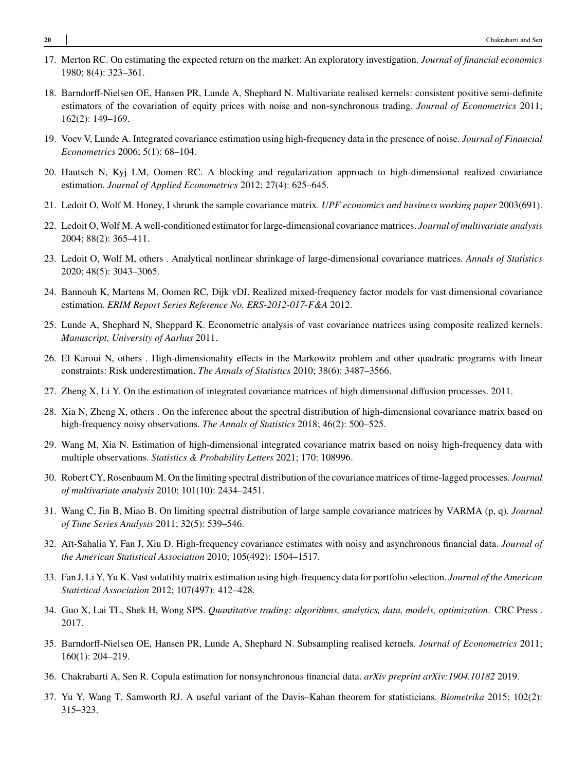- <span id="page-19-0"></span>17. Merton RC. On estimating the expected return on the market: An exploratory investigation. *Journal of financial economics* 1980; 8(4): 323–361.
- <span id="page-19-1"></span>18. Barndorff-Nielsen OE, Hansen PR, Lunde A, Shephard N. Multivariate realised kernels: consistent positive semi-definite estimators of the covariation of equity prices with noise and non-synchronous trading. *Journal of Econometrics* 2011; 162(2): 149–169.
- <span id="page-19-2"></span>19. Voev V, Lunde A. Integrated covariance estimation using high-frequency data in the presence of noise. *Journal of Financial Econometrics* 2006; 5(1): 68–104.
- <span id="page-19-3"></span>20. Hautsch N, Kyj LM, Oomen RC. A blocking and regularization approach to high-dimensional realized covariance estimation. *Journal of Applied Econometrics* 2012; 27(4): 625–645.
- <span id="page-19-4"></span>21. Ledoit O, Wolf M. Honey, I shrunk the sample covariance matrix. *UPF economics and business working paper* 2003(691).
- <span id="page-19-5"></span>22. Ledoit O, Wolf M. A well-conditioned estimator for large-dimensional covariance matrices. *Journal of multivariate analysis* 2004; 88(2): 365–411.
- <span id="page-19-6"></span>23. Ledoit O, Wolf M, others . Analytical nonlinear shrinkage of large-dimensional covariance matrices. *Annals of Statistics* 2020; 48(5): 3043–3065.
- <span id="page-19-7"></span>24. Bannouh K, Martens M, Oomen RC, Dijk vDJ. Realized mixed-frequency factor models for vast dimensional covariance estimation. *ERIM Report Series Reference No. ERS-2012-017-F&A* 2012.
- <span id="page-19-8"></span>25. Lunde A, Shephard N, Sheppard K. Econometric analysis of vast covariance matrices using composite realized kernels. *Manuscript, University of Aarhus* 2011.
- <span id="page-19-9"></span>26. El Karoui N, others . High-dimensionality effects in the Markowitz problem and other quadratic programs with linear constraints: Risk underestimation. *The Annals of Statistics* 2010; 38(6): 3487–3566.
- <span id="page-19-10"></span>27. Zheng X, Li Y. On the estimation of integrated covariance matrices of high dimensional diffusion processes. 2011.
- <span id="page-19-11"></span>28. Xia N, Zheng X, others . On the inference about the spectral distribution of high-dimensional covariance matrix based on high-frequency noisy observations. *The Annals of Statistics* 2018; 46(2): 500–525.
- <span id="page-19-12"></span>29. Wang M, Xia N. Estimation of high-dimensional integrated covariance matrix based on noisy high-frequency data with multiple observations. *Statistics & Probability Letters* 2021; 170: 108996.
- <span id="page-19-13"></span>30. Robert CY, Rosenbaum M. On the limiting spectral distribution of the covariance matrices of time-lagged processes. *Journal of multivariate analysis* 2010; 101(10): 2434–2451.
- <span id="page-19-14"></span>31. Wang C, Jin B, Miao B. On limiting spectral distribution of large sample covariance matrices by VARMA (p, q). *Journal of Time Series Analysis* 2011; 32(5): 539–546.
- <span id="page-19-15"></span>32. Aït-Sahalia Y, Fan J, Xiu D. High-frequency covariance estimates with noisy and asynchronous financial data. *Journal of the American Statistical Association* 2010; 105(492): 1504–1517.
- <span id="page-19-16"></span>33. Fan J, Li Y, Yu K. Vast volatility matrix estimation using high-frequency data for portfolio selection. *Journal of the American Statistical Association* 2012; 107(497): 412–428.
- <span id="page-19-17"></span>34. Guo X, Lai TL, Shek H, Wong SPS. *Quantitative trading: algorithms, analytics, data, models, optimization*. CRC Press . 2017.
- <span id="page-19-18"></span>35. Barndorff-Nielsen OE, Hansen PR, Lunde A, Shephard N. Subsampling realised kernels. *Journal of Econometrics* 2011; 160(1): 204–219.
- <span id="page-19-19"></span>36. Chakrabarti A, Sen R. Copula estimation for nonsynchronous financial data. *arXiv preprint arXiv:1904.10182* 2019.
- <span id="page-19-20"></span>37. Yu Y, Wang T, Samworth RJ. A useful variant of the Davis–Kahan theorem for statisticians. *Biometrika* 2015; 102(2): 315–323.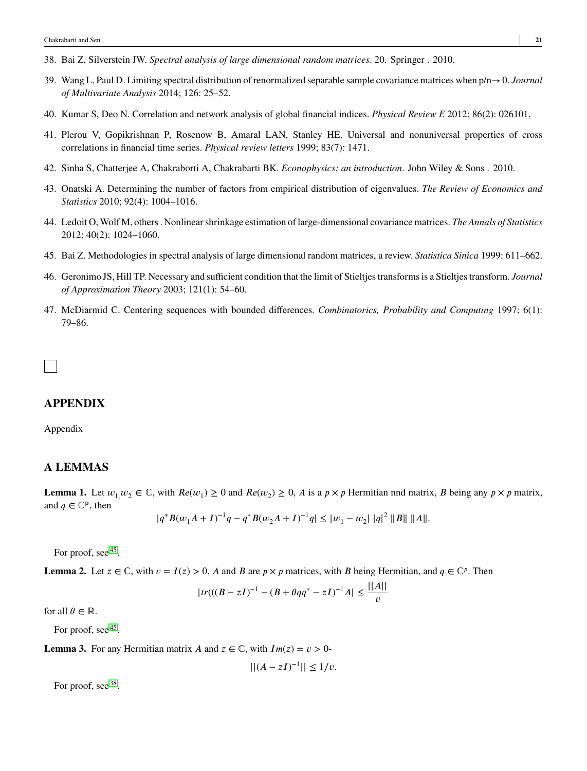- <span id="page-20-0"></span>38. Bai Z, Silverstein JW. *Spectral analysis of large dimensional random matrices*. 20. Springer . 2010.
- <span id="page-20-1"></span>39. Wang L, Paul D. Limiting spectral distribution of renormalized separable sample covariance matrices when p/n→ 0. *Journal of Multivariate Analysis* 2014; 126: 25–52.
- <span id="page-20-2"></span>40. Kumar S, Deo N. Correlation and network analysis of global financial indices. *Physical Review E* 2012; 86(2): 026101.
- <span id="page-20-3"></span>41. Plerou V, Gopikrishnan P, Rosenow B, Amaral LAN, Stanley HE. Universal and nonuniversal properties of cross correlations in financial time series. *Physical review letters* 1999; 83(7): 1471.
- <span id="page-20-4"></span>42. Sinha S, Chatterjee A, Chakraborti A, Chakrabarti BK. *Econophysics: an introduction*. John Wiley & Sons . 2010.
- <span id="page-20-5"></span>43. Onatski A. Determining the number of factors from empirical distribution of eigenvalues. *The Review of Economics and Statistics* 2010; 92(4): 1004–1016.
- <span id="page-20-6"></span>44. Ledoit O, Wolf M, others . Nonlinear shrinkage estimation of large-dimensional covariance matrices.*The Annals of Statistics* 2012; 40(2): 1024–1060.
- <span id="page-20-7"></span>45. Bai Z. Methodologies in spectral analysis of large dimensional random matrices, a review. *Statistica Sinica* 1999: 611–662.
- <span id="page-20-8"></span>46. Geronimo JS, Hill TP. Necessary and sufficient condition that the limit of Stieltjes transforms is a Stieltjes transform. *Journal of Approximation Theory* 2003; 121(1): 54–60.
- <span id="page-20-9"></span>47. McDiarmid C. Centering sequences with bounded differences. *Combinatorics, Probability and Computing* 1997; 6(1): 79–86.

## **APPENDIX**

## Appendix

## **A LEMMAS**

**Lemma 1.** Let  $w_1, w_2 \in \mathbb{C}$ , with  $Re(w_1) \ge 0$  and  $Re(w_2) \ge 0$ , *A* is a  $p \times p$  Hermitian nnd matrix, *B* being any  $p \times p$  matrix, and  $q \in \mathbb{C}^p$ , then

$$
|q^*B(w_1A+I)^{-1}q - q^*B(w_2A+I)^{-1}q| \leq |w_1 - w_2| \, |q|^2 \, \|B\| \, \|A\|.
$$

For proof, see<sup>[45](#page-20-7)</sup>.

**Lemma 2.** Let  $z \in \mathbb{C}$ , with  $v = I(z) > 0$ , *A* and *B* are  $p \times p$  matrices, with *B* being Hermitian, and  $q \in \mathbb{C}^p$ . Then

$$
|tr(((B - zI)^{-1} - (B + \theta qq^* - zI)^{-1}A| \le \frac{||A||}{v}
$$

for all  $\theta \in \mathbb{R}$ .

For proof, see [45](#page-20-7).

**Lemma 3.** For any Hermitian matrix *A* and  $z \in \mathbb{C}$ , with  $Im(z) = v > 0$ -

 $||(A - zI)^{-1}|| \leq 1/v.$ 

For proof, see<sup>[38](#page-20-0)</sup>.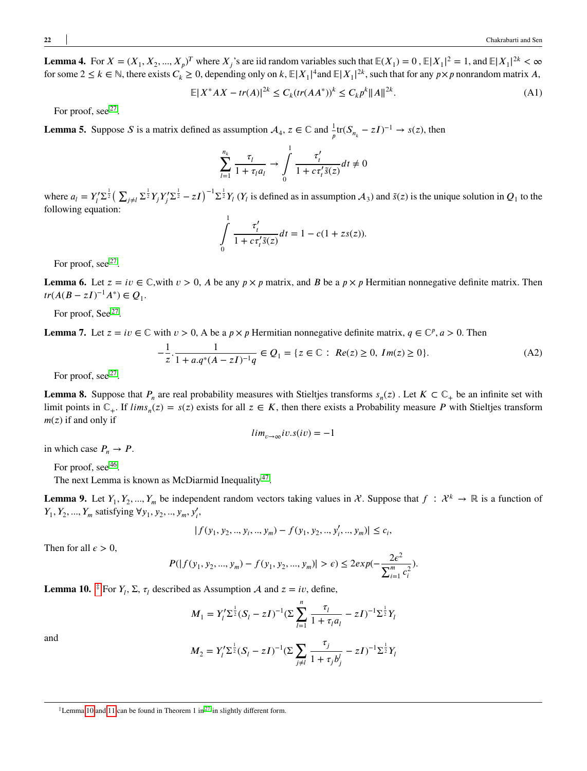**Lemma 4.** For  $X = (X_1, X_2, ..., X_p)^T$  where  $X_j$ 's are iid random variables such that  $E(X_1) = 0$ ,  $E|X_1|^2 = 1$ , and  $E|X_1|^{2k} < \infty$ for some  $2 \le k \in \mathbb{N}$ , there exists  $C_k \ge 0$ , depending only on  $k, \mathbb{E}|X_1|^4$  and  $\mathbb{E}|X_1|^{2k}$ , such that for any  $p \times p$  nonrandom matrix *A*,

$$
\mathbb{E}|X^*AX - tr(A)|^{2k} \le C_k(tr(AA^*))^k \le C_k p^k ||A||^{2k}.
$$
 (A1)

For proof, see  $27$ .

**Lemma 5.** Suppose *S* is a matrix defined as assumption  $A_4$ ,  $z \in \mathbb{C}$  and  $\frac{1}{p}$ tr( $S_{n_k} - zI$ )<sup>-1</sup>  $\rightarrow$  *s*(*z*), then

$$
\sum_{l=1}^{n_k} \frac{\tau_l}{1 + \tau_l a_l} \to \int_0^1 \frac{\tau'_t}{1 + c \tau'_t \tilde{s}(z)} dt \neq 0
$$

where  $a_l = Y_l' \Sigma^{\frac{1}{2}} \left( \sum_{j \neq l} \sum_{i=1}^{\frac{1}{2}} Y_j Y_j' \Sigma^{\frac{1}{2}} - zI \right)^{-1} \Sigma^{\frac{1}{2}} Y_l (Y_l \text{ is defined as in assumption } \mathcal{A}_3)$  and  $\tilde{s}(z)$  is the unique solution in  $Q_1$  to the following equation:

$$
\int_{0}^{1} \frac{\tau'_{t}}{1 + c\tau'_{t}\tilde{s}(z)}dt = 1 - c(1 + zs(z)).
$$

For proof, see<sup>[27](#page-19-10)</sup>.

**Lemma 6.** Let  $z = iv \in \mathbb{C}$ , with  $v > 0$ , A be any  $p \times p$  matrix, and B be a  $p \times p$  Hermitian nonnegative definite matrix. Then  $tr(A(B - zI)^{-1}A^*) \in Q_1.$ 

For proof, See<sup>[27](#page-19-10)</sup>.

**Lemma 7.** Let  $z = iv \in \mathbb{C}$  with  $v > 0$ , A be a  $p \times p$  Hermitian nonnegative definite matrix,  $q \in \mathbb{C}^p$ ,  $a > 0$ . Then

$$
-\frac{1}{z} \cdot \frac{1}{1 + a q^* (A - zI)^{-1} q} \in Q_1 = \{ z \in \mathbb{C} : Re(z) \ge 0, Im(z) \ge 0 \}.
$$
 (A2)

For proof, see  $27$ .

**Lemma 8.** Suppose that  $P_n$  are real probability measures with Stieltjes transforms  $s_n(z)$ . Let  $K \subset \mathbb{C}_+$  be an infinite set with limit points in  $\mathbb{C}_+$ . If  $\lim s_n(z) = s(z)$  exists for all  $z \in K$ , then there exists a Probability measure *P* with Stieltjes transform  $m(z)$  if and only if

$$
lim_{v \to \infty} iv. s(iv) = -1
$$

in which case  $P_n \to P$ .

For proof, see <sup>[46](#page-20-8)</sup>.

The next Lemma is known as McDiarmid Inequality<sup>[47](#page-20-9)</sup>.

**Lemma 9.** Let  $Y_1, Y_2, ..., Y_m$  be independent random vectors taking values in  $\mathcal{X}$ . Suppose that  $f : \mathcal{X}^k \to \mathbb{R}$  is a function of  $Y_1, Y_2, ..., Y_m$  satisfying  $\forall y_1, y_2, ..., y_m, y'_i$ ,

$$
|f(y_1, y_2, ..., y_i, ..., y_m) - f(y_1, y_2, ..., y_i', ..., y_m)| \le c_i,
$$

Then for all  $\epsilon > 0$ ,

$$
P(|f(y_1, y_2, ..., y_m) - f(y_1, y_2, ..., y_m)| > \epsilon) \le 2exp(-\frac{2\epsilon^2}{\sum_{i=1}^m c_i^2}).
$$

<span id="page-21-0"></span>**Lemma 10.**  $\neq$  For  $Y_l$ ,  $\Sigma$ ,  $\tau_l$  described as Assumption A and  $z = iv$ , define,

$$
M_1 = Y_l' \Sigma^{\frac{1}{2}} (S_l - zI)^{-1} (\Sigma \sum_{l=1}^n \frac{\tau_l}{1 + \tau_l a_l} - zI)^{-1} \Sigma^{\frac{1}{2}} Y_l
$$

and

$$
M_2 = Y_l' \Sigma^{\frac{1}{2}} (S_l - zI)^{-1} (\Sigma \sum_{j \neq l} \frac{\tau_j}{1 + \tau_j b_j'} - zI)^{-1} \Sigma^{\frac{1}{2}} Y_l
$$

<sup>‡</sup>Lemma [10](#page-21-0) and [11](#page-23-0) can be found in Theorem 1 in [27](#page-19-10) in slightly different form.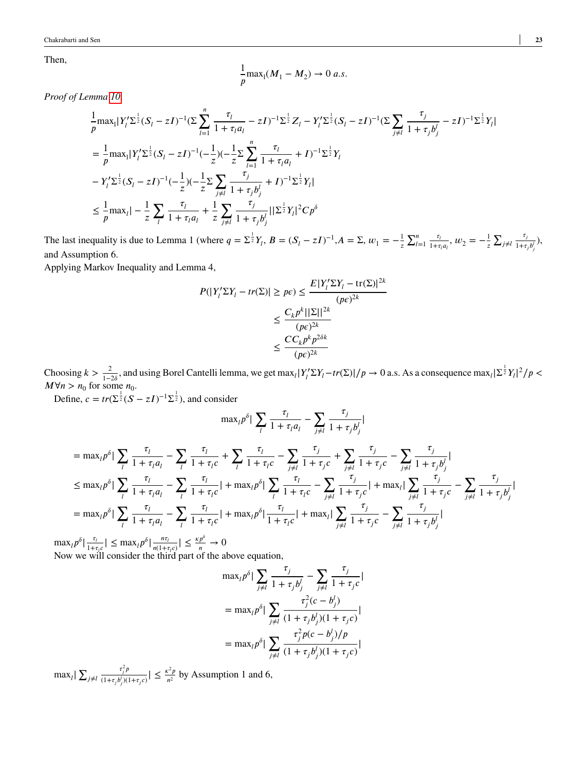Then,

$$
\frac{1}{p} \max_{1} (M_1 - M_2) \to 0 \text{ a.s.}
$$

*Proof of Lemma [10.](#page-21-0)*

$$
\frac{1}{p} \max_{|Y|} |Y_{l}^{\prime} \Sigma^{\frac{1}{2}} (S_{l} - zI)^{-1} (\Sigma \sum_{l=1}^{n} \frac{\tau_{l}}{1 + \tau_{l} a_{l}} - zI)^{-1} \Sigma^{\frac{1}{2}} Z_{l} - Y_{l}^{\prime} \Sigma^{\frac{1}{2}} (S_{l} - zI)^{-1} (\Sigma \sum_{j \neq l} \frac{\tau_{j}}{1 + \tau_{j} b_{j}^{\prime}} - zI)^{-1} \Sigma^{\frac{1}{2}} Y_{l}|
$$
\n
$$
= \frac{1}{p} \max_{1} |Y_{l}^{\prime} \Sigma^{\frac{1}{2}} (S_{l} - zI)^{-1} (-\frac{1}{z}) (-\frac{1}{z} \Sigma \sum_{l=1}^{n} \frac{\tau_{l}}{1 + \tau_{l} a_{l}} + I)^{-1} \Sigma^{\frac{1}{2}} Y_{l}|
$$
\n
$$
-Y_{l}^{\prime} \Sigma^{\frac{1}{2}} (S_{l} - zI)^{-1} (-\frac{1}{z}) (-\frac{1}{z} \Sigma \sum_{j \neq l} \frac{\tau_{j}}{1 + \tau_{j} b_{j}^{\prime}} + I)^{-1} \Sigma^{\frac{1}{2}} Y_{l}|
$$
\n
$$
\leq \frac{1}{p} \max_{l} | -\frac{1}{z} \sum_{l} \frac{\tau_{l}}{1 + \tau_{l} a_{l}} + \frac{1}{z} \sum_{j \neq l} \frac{\tau_{j}}{1 + \tau_{j} b_{j}^{\prime}} | \Sigma^{\frac{1}{2}} Y_{l} |^{2} C p^{\delta}
$$

The last inequality is due to Lemma 1 (where  $q = \sum_{i=1}^{j} Y_i$ ,  $B = (S_i - zI)^{-1}$ ,  $A = \sum_i w_i = -\frac{1}{z}$ *𝑧* ∑*<sup>𝑛</sup>*  $\frac{n}{l-1}$   $\frac{\tau_i}{1+\tau}$  $\frac{\tau_l}{1+\tau_l a_l}, w_2 = -\frac{1}{z}$ *𝑧*  $\sum_{j\neq l}\frac{\tau_j}{1+\tau}$  $\frac{y_j}{1+\tau_j b_j^l}),$ and Assumption 6.

Applying Markov Inequality and Lemma 4,

$$
P(|Y'_i \Sigma Y_i - tr(\Sigma)| \ge p\epsilon) \le \frac{E|Y'_i \Sigma Y_i - tr(\Sigma)|^{2k}}{(p\epsilon)^{2k}}
$$

$$
\le \frac{C_k p^k ||\Sigma||^{2k}}{(p\epsilon)^{2k}}
$$

$$
\le \frac{C C_k p^k p^{2\delta k}}{(p\epsilon)^{2k}}
$$

Choosing  $k > \frac{2}{1-2\delta}$ , and using Borel Cantelli lemma, we get  $\max_l |Y_l' \Sigma Y_l - tr(\Sigma)|/p \to 0$  a.s. As a consequence  $\max_l |\Sigma^{\frac{1}{2}} Y_l|^2/p <$  $M \forall n > n_0$  for some  $n_0$ .

Define,  $c = tr(\Sigma^{\frac{1}{2}}(S - zI)^{-1}\Sigma^{\frac{1}{2}})$ , and consider

$$
\max_{l} p^{\delta} \big| \sum_{l} \frac{\tau_{l}}{1 + \tau_{l} a_{l}} - \sum_{j \neq l} \frac{\tau_{j}}{1 + \tau_{j} b_{j}^{l}} \big|
$$

$$
= \max_{i} p^{\delta} \Big| \sum_{i} \frac{\tau_{i}}{1 + \tau_{i} a_{i}} - \sum_{i} \frac{\tau_{i}}{1 + \tau_{i} c} + \sum_{i} \frac{\tau_{i}}{1 + \tau_{i} c} - \sum_{j \neq i} \frac{\tau_{j}}{1 + \tau_{j} c} + \sum_{j \neq i} \frac{\tau_{j}}{1 + \tau_{j} c} - \sum_{j \neq i} \frac{\tau_{j}}{1 + \tau_{j} b_{j}'} \Big|
$$
  
\n
$$
\leq \max_{i} p^{\delta} \Big| \sum_{i} \frac{\tau_{i}}{1 + \tau_{i} a_{i}} - \sum_{i} \frac{\tau_{i}}{1 + \tau_{i} c} \Big| + \max_{i} p^{\delta} \Big| \sum_{i} \frac{\tau_{i}}{1 + \tau_{i} c} - \sum_{j \neq i} \frac{\tau_{j}}{1 + \tau_{j} c} \Big| + \max_{i} \Big| \sum_{j \neq i} \frac{\tau_{j}}{1 + \tau_{j} c} - \sum_{j \neq i} \frac{\tau_{j}}{1 + \tau_{j} c} \Big|
$$
  
\n
$$
= \max_{i} p^{\delta} \Big| \sum_{i} \frac{\tau_{i}}{1 + \tau_{i} a_{i}} - \sum_{i} \frac{\tau_{i}}{1 + \tau_{i} c} \Big| + \max_{i} p^{\delta} \Big| \frac{\tau_{i}}{1 + \tau_{i} c} + \max_{i} \Big| \sum_{j \neq i} \frac{\tau_{j}}{1 + \tau_{j} c} - \sum_{j \neq i} \frac{\tau_{j}}{1 + \tau_{j} b_{j}'} \Big|
$$

 $\max_{l} p^{\delta} \left| \frac{\tau_{l}}{1 + \tau_{l}} \right|$  $\frac{\tau_i}{1+\tau_i c}$  |  $\leq$  max<sub>*l*</sub> $p^{\delta}$ | $\frac{n\tau_i}{n(1+n)}$  $\frac{n\tau_l}{n(1+\tau_l c)}$ |  $\leq \frac{\kappa p^{\delta}}{n}$  $\frac{p}{n} \to 0$ Now we will consider the third part of the above equation,

$$
\max_{l} p^{\delta} | \sum_{j \neq l} \frac{\tau_{j}}{1 + \tau_{j} b_{j}^{l}} - \sum_{j \neq l} \frac{\tau_{j}}{1 + \tau_{j} c} |
$$
  
= 
$$
\max_{l} p^{\delta} | \sum_{j \neq l} \frac{\tau_{j}^{2} (c - b_{j}^{l})}{(1 + \tau_{j} b_{j}^{l})(1 + \tau_{j} c)} |
$$
  
= 
$$
\max_{l} p^{\delta} | \sum_{j \neq l} \frac{\tau_{j}^{2} p (c - b_{j}^{l}) / p}{(1 + \tau_{j} b_{j}^{l})(1 + \tau_{j} c)} |
$$

 $\max_{l} \left| \sum_{j \neq l} \right|$  $\tau_j^2 p$  $\frac{\tau_j^2 p}{(1+\tau_j b_j^l)(1+\tau_j c)} \leq \frac{\kappa^2 p}{n^2}$  $\frac{C^2 p}{n^2}$  by Assumption 1 and 6,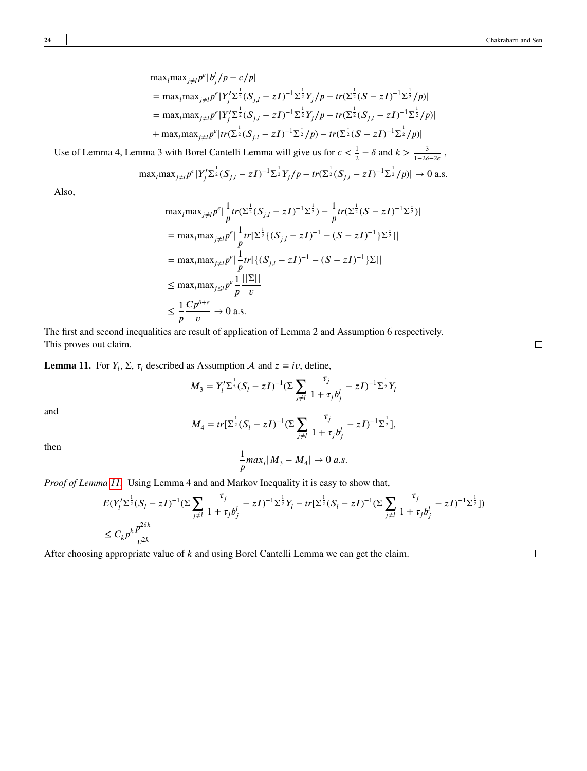$$
\max_{j \neq l} p^{\epsilon} |b_j^l / p - c/p|
$$
\n
$$
= \max_{j \neq l} p^{\epsilon} |Y_j^l \Sigma^{\frac{1}{2}} (S_{j,l} - zI)^{-1} \Sigma^{\frac{1}{2}} Y_j / p - tr(\Sigma^{\frac{1}{2}} (S - zI)^{-1} \Sigma^{\frac{1}{2}} / p)|
$$
\n
$$
= \max_{l} \max_{j \neq l} p^{\epsilon} |Y_j^l \Sigma^{\frac{1}{2}} (S_{j,l} - zI)^{-1} \Sigma^{\frac{1}{2}} Y_j / p - tr(\Sigma^{\frac{1}{2}} (S_{j,l} - zI)^{-1} \Sigma^{\frac{1}{2}} / p)|
$$
\n
$$
+ \max_{l} \max_{j \neq l} p^{\epsilon} |tr(\Sigma^{\frac{1}{2}} (S_{j,l} - zI)^{-1} \Sigma^{\frac{1}{2}} / p) - tr(\Sigma^{\frac{1}{2}} (S - zI)^{-1} \Sigma^{\frac{1}{2}} / p)|
$$

Use of Lemma 4, Lemma 3 with Borel Cantelli Lemma will give us for  $\epsilon < \frac{1}{2} - \delta$  and  $k > \frac{3}{1-2\delta - 2\epsilon}$ ,

$$
\text{max}_{i} \text{max}_{j \neq l} p^{\epsilon} |Y'_{j} \Sigma^{\frac{1}{2}} (S_{j,l} - zI)^{-1} \Sigma^{\frac{1}{2}} Y_{j} / p - tr(\Sigma^{\frac{1}{2}} (S_{j,l} - zI)^{-1} \Sigma^{\frac{1}{2}} / p)| \to 0 \text{ a.s.}
$$

Also,

$$
\max_{j \neq l} p^{\epsilon} |\frac{1}{p} tr(\Sigma^{\frac{1}{2}}(S_{j,l} - zI)^{-1} \Sigma^{\frac{1}{2}}) - \frac{1}{p} tr(\Sigma^{\frac{1}{2}}(S - zI)^{-1} \Sigma^{\frac{1}{2}})|
$$
  
\n
$$
= \max_{j \neq l} p^{\epsilon} |\frac{1}{p} tr[\Sigma^{\frac{1}{2}} \{ (S_{j,l} - zI)^{-1} - (S - zI)^{-1} \} \Sigma^{\frac{1}{2}}]|
$$
  
\n
$$
= \max_{j \neq l} p^{\epsilon} |\frac{1}{p} tr[\{ (S_{j,l} - zI)^{-1} - (S - zI)^{-1} \} \Sigma]|
$$
  
\n
$$
\leq \max_{j \neq l} p^{\epsilon} \frac{1}{p} \frac{||\Sigma||}{v}
$$
  
\n
$$
\leq \frac{1}{p} \frac{Cp^{\delta + \epsilon}}{v} \to 0 \text{ a.s.}
$$

The first and second inequalities are result of application of Lemma 2 and Assumption 6 respectively. This proves out claim.

<span id="page-23-0"></span>**Lemma 11.** For  $Y_l$ ,  $\Sigma$ ,  $\tau_l$  described as Assumption A and  $z = iv$ , define,

$$
M_3 = Y_l' \Sigma^{\frac{1}{2}} (S_l - zI)^{-1} (\Sigma \sum_{j \neq l} \frac{\tau_j}{1 + \tau_j b_j'} - zI)^{-1} \Sigma^{\frac{1}{2}} Y_l
$$

and

$$
M_4 = tr[\Sigma^{\frac{1}{2}}(S_l - zI)^{-1}(\Sigma \sum_{j \neq l} \frac{\tau_j}{1 + \tau_j b_j^l} - zI)^{-1} \Sigma^{\frac{1}{2}}],
$$

then

$$
\frac{1}{p}max_{l}|M_3 - M_4| \to 0 \text{ a.s.}
$$

*Proof of Lemma [11.](#page-23-0)* Using Lemma 4 and and Markov Inequality it is easy to show that,

$$
E(Y_l' \Sigma^{\frac{1}{2}} (S_l - zI)^{-1} (\Sigma \sum_{j \neq l} \frac{\tau_j}{1 + \tau_j b_j^l} - zI)^{-1} \Sigma^{\frac{1}{2}} Y_l - tr[\Sigma^{\frac{1}{2}} (S_l - zI)^{-1} (\Sigma \sum_{j \neq l} \frac{\tau_j}{1 + \tau_j b_j^l} - zI)^{-1} \Sigma^{\frac{1}{2}}])
$$
  

$$
\leq C_k p^k \frac{p^{2\delta k}}{v^{2k}}
$$

After choosing appropriate value of *k* and using Borel Cantelli Lemma we can get the claim.

 $\Box$ 

 $\Box$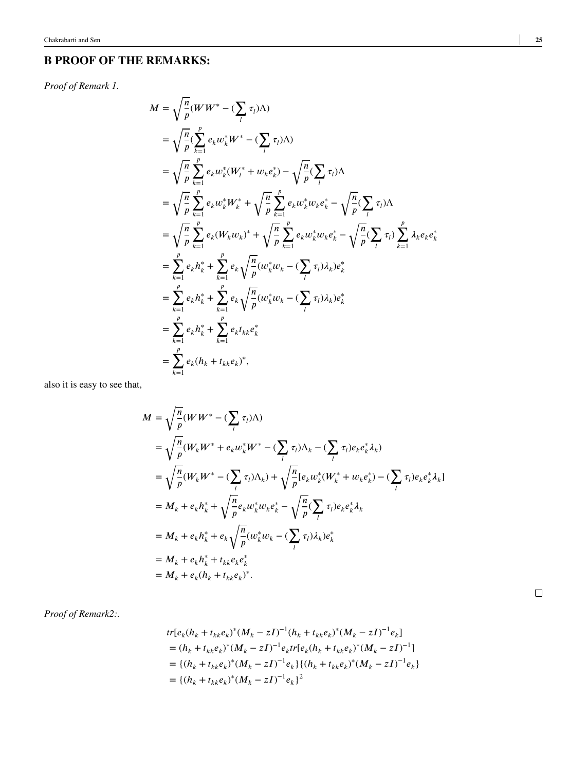## **B PROOF OF THE REMARKS:**

*Proof of Remark 1.*

$$
M = \sqrt{\frac{n}{p}} (W W^* - (\sum_l \tau_l) \Lambda)
$$
  
\n
$$
= \sqrt{\frac{n}{p}} \sum_{k=1}^p e_k w_k^* W^* - (\sum_l \tau_l) \Lambda)
$$
  
\n
$$
= \sqrt{\frac{n}{p}} \sum_{k=1}^p e_k w_k^* (W_l^* + w_k e_k^*) - \sqrt{\frac{n}{p}} (\sum_l \tau_l) \Lambda
$$
  
\n
$$
= \sqrt{\frac{n}{p}} \sum_{k=1}^p e_k w_k^* W_k^* + \sqrt{\frac{n}{p}} \sum_{k=1}^p e_k w_k^* w_k e_k^* - \sqrt{\frac{n}{p}} (\sum_l \tau_l) \Lambda
$$
  
\n
$$
= \sqrt{\frac{n}{p}} \sum_{k=1}^p e_k (W_k w_k)^* + \sqrt{\frac{n}{p}} \sum_{k=1}^p e_k w_k^* w_k e_k^* - \sqrt{\frac{n}{p}} (\sum_l \tau_l) \sum_{k=1}^p \lambda_k e_k e_k^*
$$
  
\n
$$
= \sum_{k=1}^p e_k h_k^* + \sum_{k=1}^p e_k \sqrt{\frac{n}{p}} (w_k^* w_k - (\sum_l \tau_l) \lambda_k) e_k^*
$$
  
\n
$$
= \sum_{k=1}^p e_k h_k^* + \sum_{k=1}^p e_k \sqrt{\frac{n}{p}} (w_k^* w_k - (\sum_l \tau_l) \lambda_k) e_k^*
$$
  
\n
$$
= \sum_{k=1}^p e_k h_k^* + \sum_{k=1}^p e_k t_{kk} e_k^*
$$
  
\n
$$
= \sum_{k=1}^p e_k (h_k + t_{kk} e_k)^*
$$

also it is easy to see that,

$$
M = \sqrt{\frac{n}{p}} (WW^* - (\sum_l \tau_l) \Lambda)
$$
  
\n
$$
= \sqrt{\frac{n}{p}} (W_k W^* + e_k w_k^* W^* - (\sum_l \tau_l) \Lambda_k - (\sum_l \tau_l) e_k e_k^* \lambda_k)
$$
  
\n
$$
= \sqrt{\frac{n}{p}} (W_k W^* - (\sum_l \tau_l) \Lambda_k) + \sqrt{\frac{n}{p}} [e_k w_k^* (W_k^* + w_k e_k^*) - (\sum_l \tau_l) e_k e_k^* \lambda_k]
$$
  
\n
$$
= M_k + e_k h_k^* + \sqrt{\frac{n}{p}} e_k w_k^* w_k e_k^* - \sqrt{\frac{n}{p}} (\sum_l \tau_l) e_k e_k^* \lambda_k
$$
  
\n
$$
= M_k + e_k h_k^* + e_k \sqrt{\frac{n}{p}} (w_k^* w_k - (\sum_l \tau_l) \lambda_k) e_k^*
$$
  
\n
$$
= M_k + e_k h_k^* + t_{kk} e_k e_k^*
$$
  
\n
$$
= M_k + e_k (h_k + t_{kk} e_k)^*.
$$

*Proof of Remark2:.*

$$
tr[e_k(h_k + t_{kk}e_k)^*(M_k - zI)^{-1}(h_k + t_{kk}e_k)^*(M_k - zI)^{-1}e_k]
$$
  
=  $(h_k + t_{kk}e_k)^*(M_k - zI)^{-1}e_ktr[e_k(h_k + t_{kk}e_k)^*(M_k - zI)^{-1}]$   
=  $\{(h_k + t_{kk}e_k)^*(M_k - zI)^{-1}e_k\}\{(h_k + t_{kk}e_k)^*(M_k - zI)^{-1}e_k\}$   
=  $\{(h_k + t_{kk}e_k)^*(M_k - zI)^{-1}e_k\}^2$ 

 $\Box$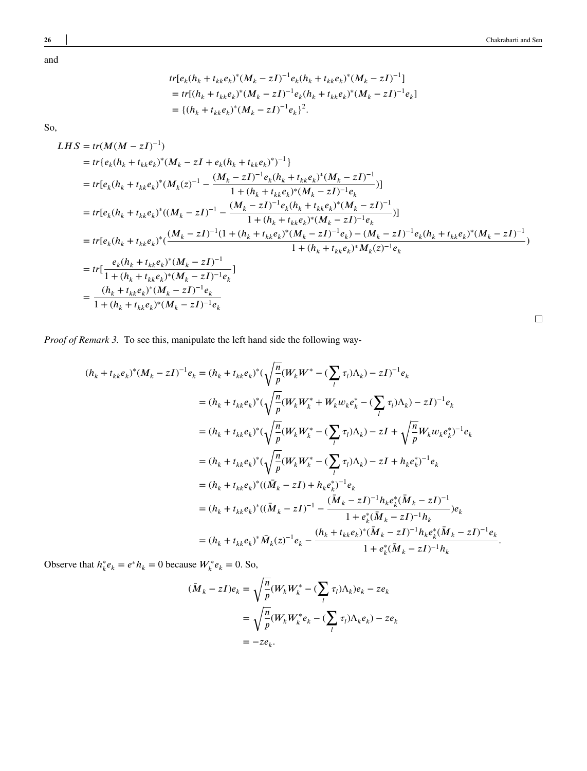and

$$
tr[e_k(h_k + t_{kk}e_k)^*(M_k - zI)^{-1}e_k(h_k + t_{kk}e_k)^*(M_k - zI)^{-1}]
$$
  
= 
$$
tr[(h_k + t_{kk}e_k)^*(M_k - zI)^{-1}e_k(h_k + t_{kk}e_k)^*(M_k - zI)^{-1}e_k]
$$
  
= 
$$
\{(h_k + t_{kk}e_k)^*(M_k - zI)^{-1}e_k\}^2.
$$

So,

$$
LHS = tr(M(M - zI)^{-1})
$$
  
\n
$$
= tr\{e_k(h_k + t_{kk}e_k)^*(M_k - zI + e_k(h_k + t_{kk}e_k)^*)^{-1}\}
$$
  
\n
$$
= tr[e_k(h_k + t_{kk}e_k)^*(M_k(z)^{-1} - \frac{(M_k - zI)^{-1}e_k(h_k + t_{kk}e_k)^*(M_k - zI)^{-1}}{1 + (h_k + t_{kk}e_k)^*(M_k - zI)^{-1}e_k})]
$$
  
\n
$$
= tr[e_k(h_k + t_{kk}e_k)^*((M_k - zI)^{-1} - \frac{(M_k - zI)^{-1}e_k(h_k + t_{kk}e_k)^*(M_k - zI)^{-1}}{1 + (h_k + t_{kk}e_k)^*(M_k - zI)^{-1}e_k})]
$$
  
\n
$$
= tr[e_k(h_k + t_{kk}e_k)^*(\frac{(M_k - zI)^{-1}(1 + (h_k + t_{kk}e_k)^*(M_k - zI)^{-1}e_k) - (M_k - zI)^{-1}e_k(h_k + t_{kk}e_k)^*(M_k - zI)^{-1}}{1 + (h_k + t_{kk}e_k)^*M_k(z)^{-1}e_k}
$$
  
\n
$$
= tr\left[\frac{e_k(h_k + t_{kk}e_k)^*(M_k - zI)^{-1}}{1 + (h_k + t_{kk}e_k)^*(M_k - zI)^{-1}e_k}\right]
$$
  
\n
$$
= \frac{(h_k + t_{kk}e_k)^*(M_k - zI)^{-1}e_k}{1 + (h_k + t_{kk}e_k)^*(M_k - zI)^{-1}e_k}
$$

*Proof of Remark 3.* To see this, manipulate the left hand side the following way-

$$
(h_{k} + t_{kk}e_{k})^{*}(M_{k} - zI)^{-1}e_{k} = (h_{k} + t_{kk}e_{k})^{*}(\sqrt{\frac{n}{p}}(W_{k}W^{*} - (\sum_{l} \tau_{l})\Lambda_{k}) - zI)^{-1}e_{k}
$$
  
\n
$$
= (h_{k} + t_{kk}e_{k})^{*}(\sqrt{\frac{n}{p}}(W_{k}W_{k}^{*} + W_{k}w_{k}e_{k}^{*} - (\sum_{l} \tau_{l})\Lambda_{k}) - zI)^{-1}e_{k}
$$
  
\n
$$
= (h_{k} + t_{kk}e_{k})^{*}(\sqrt{\frac{n}{p}}(W_{k}W_{k}^{*} - (\sum_{l} \tau_{l})\Lambda_{k}) - zI + \sqrt{\frac{n}{p}}W_{k}w_{k}e_{k}^{*})^{-1}e_{k}
$$
  
\n
$$
= (h_{k} + t_{kk}e_{k})^{*}(\sqrt{\frac{n}{p}}(W_{k}W_{k}^{*} - (\sum_{l} \tau_{l})\Lambda_{k}) - zI + h_{k}e_{k}^{*})^{-1}e_{k}
$$
  
\n
$$
= (h_{k} + t_{kk}e_{k})^{*}((\overline{M}_{k} - zI) + h_{k}e_{k}^{*})^{-1}e_{k}
$$
  
\n
$$
= (h_{k} + t_{kk}e_{k})^{*}((\overline{M}_{k} - zI)^{-1} - \frac{(\overline{M}_{k} - zI)^{-1}h_{k}e_{k}^{*}(\overline{M}_{k} - zI)^{-1}h_{k}}{1 + e_{k}^{*}(\overline{M}_{k} - zI)^{-1}h_{k}})e_{k}
$$
  
\n
$$
= (h_{k} + t_{kk}e_{k})^{*}\overline{M}_{k}(z)^{-1}e_{k} - \frac{(h_{k} + t_{kk}e_{k})^{*}(\overline{M}_{k} - zI)^{-1}h_{k}e_{k}^{*}(\overline{M}_{k} - zI)^{-1}h_{k}}{1 + e_{k}^{*}(\overline{M}_{k} - zI)^{-1}h_{k}}.
$$

Observe that  $h_k^* e_k = e^* h_k = 0$  because  $W_k^* e_k = 0$ . So,

$$
(\bar{M}_k - zI)e_k = \sqrt{\frac{n}{p}} (W_k W_k^* - (\sum_l \tau_l) \Lambda_k) e_k - z e_k
$$
  
= 
$$
\sqrt{\frac{n}{p}} (W_k W_k^* e_k - (\sum_l \tau_l) \Lambda_k e_k) - z e_k
$$
  
= 
$$
-z e_k.
$$